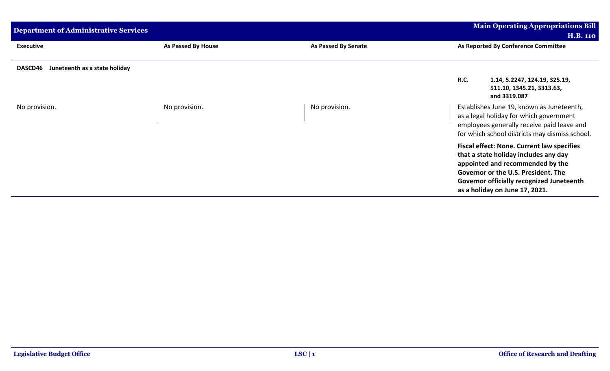| <b>Department of Administrative Services</b> |                    |                            | <b>Main Operating Appropriations Bill</b>                                                                                                                                                                                                                   |
|----------------------------------------------|--------------------|----------------------------|-------------------------------------------------------------------------------------------------------------------------------------------------------------------------------------------------------------------------------------------------------------|
|                                              |                    |                            | <b>H.B. 110</b>                                                                                                                                                                                                                                             |
| <b>Executive</b>                             | As Passed By House | <b>As Passed By Senate</b> | As Reported By Conference Committee                                                                                                                                                                                                                         |
| DASCD46<br>Juneteenth as a state holiday     |                    |                            |                                                                                                                                                                                                                                                             |
|                                              |                    |                            | <b>R.C.</b><br>1.14, 5.2247, 124.19, 325.19,<br>511.10, 1345.21, 3313.63,<br>and 3319.087                                                                                                                                                                   |
| No provision.                                | No provision.      | No provision.              | Establishes June 19, known as Juneteenth,<br>as a legal holiday for which government<br>employees generally receive paid leave and<br>for which school districts may dismiss school.                                                                        |
|                                              |                    |                            | <b>Fiscal effect: None. Current law specifies</b><br>that a state holiday includes any day<br>appointed and recommended by the<br>Governor or the U.S. President. The<br><b>Governor officially recognized Juneteenth</b><br>as a holiday on June 17, 2021. |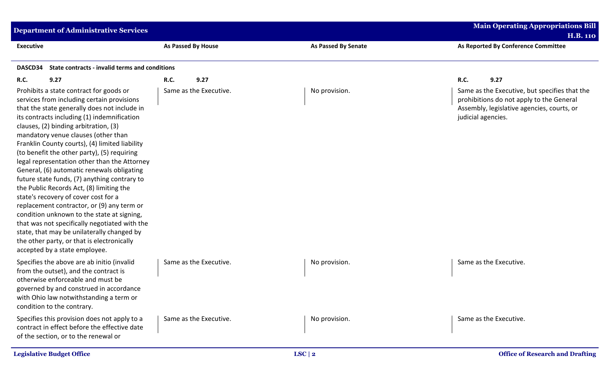| <b>Department of Administrative Services</b>                                                                                                                                                                                                                                                                                                                                                                                                                                                                                                                                                                                                                                                                                                                                                                                                                                      |                        |                            | <b>Main Operating Appropriations Bill</b><br><b>H.B. 110</b>                                                                                                  |
|-----------------------------------------------------------------------------------------------------------------------------------------------------------------------------------------------------------------------------------------------------------------------------------------------------------------------------------------------------------------------------------------------------------------------------------------------------------------------------------------------------------------------------------------------------------------------------------------------------------------------------------------------------------------------------------------------------------------------------------------------------------------------------------------------------------------------------------------------------------------------------------|------------------------|----------------------------|---------------------------------------------------------------------------------------------------------------------------------------------------------------|
| <b>Executive</b>                                                                                                                                                                                                                                                                                                                                                                                                                                                                                                                                                                                                                                                                                                                                                                                                                                                                  | As Passed By House     | <b>As Passed By Senate</b> | As Reported By Conference Committee                                                                                                                           |
| State contracts - invalid terms and conditions<br>DASCD34                                                                                                                                                                                                                                                                                                                                                                                                                                                                                                                                                                                                                                                                                                                                                                                                                         |                        |                            |                                                                                                                                                               |
| R.C.<br>9.27                                                                                                                                                                                                                                                                                                                                                                                                                                                                                                                                                                                                                                                                                                                                                                                                                                                                      | 9.27<br>R.C.           |                            | R.C.<br>9.27                                                                                                                                                  |
| Prohibits a state contract for goods or<br>services from including certain provisions<br>that the state generally does not include in<br>its contracts including (1) indemnification<br>clauses, (2) binding arbitration, (3)<br>mandatory venue clauses (other than<br>Franklin County courts), (4) limited liability<br>(to benefit the other party), (5) requiring<br>legal representation other than the Attorney<br>General, (6) automatic renewals obligating<br>future state funds, (7) anything contrary to<br>the Public Records Act, (8) limiting the<br>state's recovery of cover cost for a<br>replacement contractor, or (9) any term or<br>condition unknown to the state at signing,<br>that was not specifically negotiated with the<br>state, that may be unilaterally changed by<br>the other party, or that is electronically<br>accepted by a state employee. | Same as the Executive. | No provision.              | Same as the Executive, but specifies that the<br>prohibitions do not apply to the General<br>Assembly, legislative agencies, courts, or<br>judicial agencies. |
| Specifies the above are ab initio (invalid<br>from the outset), and the contract is<br>otherwise enforceable and must be<br>governed by and construed in accordance<br>with Ohio law notwithstanding a term or<br>condition to the contrary.                                                                                                                                                                                                                                                                                                                                                                                                                                                                                                                                                                                                                                      | Same as the Executive. | No provision.              | Same as the Executive.                                                                                                                                        |
| Specifies this provision does not apply to a<br>contract in effect before the effective date<br>of the section, or to the renewal or                                                                                                                                                                                                                                                                                                                                                                                                                                                                                                                                                                                                                                                                                                                                              | Same as the Executive. | No provision.              | Same as the Executive.                                                                                                                                        |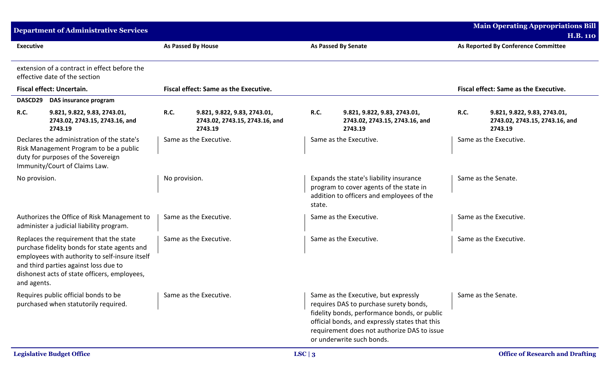|                  | <b>Department of Administrative Services</b>                                                                                                                                                                                       |                                                    |                                                                           |               |                                                                                                                                                                                                                                                              |                | <b>Main Operating Appropriations Bill</b><br><b>H.B. 110</b>              |
|------------------|------------------------------------------------------------------------------------------------------------------------------------------------------------------------------------------------------------------------------------|----------------------------------------------------|---------------------------------------------------------------------------|---------------|--------------------------------------------------------------------------------------------------------------------------------------------------------------------------------------------------------------------------------------------------------------|----------------|---------------------------------------------------------------------------|
| <b>Executive</b> |                                                                                                                                                                                                                                    | As Passed By House                                 |                                                                           |               | <b>As Passed By Senate</b>                                                                                                                                                                                                                                   |                | As Reported By Conference Committee                                       |
|                  | extension of a contract in effect before the<br>effective date of the section                                                                                                                                                      |                                                    |                                                                           |               |                                                                                                                                                                                                                                                              |                |                                                                           |
|                  | Fiscal effect: Uncertain.                                                                                                                                                                                                          |                                                    | Fiscal effect: Same as the Executive.                                     |               |                                                                                                                                                                                                                                                              |                | Fiscal effect: Same as the Executive.                                     |
|                  | DASCD29 DAS insurance program                                                                                                                                                                                                      |                                                    |                                                                           |               |                                                                                                                                                                                                                                                              |                |                                                                           |
| <b>R.C.</b>      | 9.821, 9.822, 9.83, 2743.01,<br>2743.02, 2743.15, 2743.16, and<br>2743.19                                                                                                                                                          | <b>R.C.</b>                                        | 9.821, 9.822, 9.83, 2743.01,<br>2743.02, 2743.15, 2743.16, and<br>2743.19 | <b>R.C.</b>   | 9.821, 9.822, 9.83, 2743.01,<br>2743.02, 2743.15, 2743.16, and<br>2743.19                                                                                                                                                                                    | <b>R.C.</b>    | 9.821, 9.822, 9.83, 2743.01,<br>2743.02, 2743.15, 2743.16, and<br>2743.19 |
|                  | Declares the administration of the state's<br>Risk Management Program to be a public<br>duty for purposes of the Sovereign<br>Immunity/Court of Claims Law.                                                                        | Same as the Executive.                             |                                                                           |               | Same as the Executive.                                                                                                                                                                                                                                       |                | Same as the Executive.                                                    |
| No provision.    |                                                                                                                                                                                                                                    | No provision.                                      |                                                                           | state.        | Expands the state's liability insurance<br>program to cover agents of the state in<br>addition to officers and employees of the                                                                                                                              |                | Same as the Senate.                                                       |
|                  | Authorizes the Office of Risk Management to<br>administer a judicial liability program.                                                                                                                                            | Same as the Executive.                             |                                                                           |               | Same as the Executive.                                                                                                                                                                                                                                       |                | Same as the Executive.                                                    |
| and agents.      | Replaces the requirement that the state<br>purchase fidelity bonds for state agents and<br>employees with authority to self-insure itself<br>and third parties against loss due to<br>dishonest acts of state officers, employees, | Same as the Executive.                             |                                                                           |               | Same as the Executive.                                                                                                                                                                                                                                       |                | Same as the Executive.                                                    |
|                  | Requires public official bonds to be<br>purchased when statutorily required.                                                                                                                                                       | $\overline{\phantom{a}}$<br>Same as the Executive. |                                                                           |               | Same as the Executive, but expressly<br>requires DAS to purchase surety bonds,<br>fidelity bonds, performance bonds, or public<br>official bonds, and expressly states that this<br>requirement does not authorize DAS to issue<br>or underwrite such bonds. | $\blacksquare$ | Same as the Senate.                                                       |
|                  | <b>Legislative Budget Office</b>                                                                                                                                                                                                   |                                                    |                                                                           | LSC $\vert 3$ |                                                                                                                                                                                                                                                              |                | <b>Office of Research and Drafting</b>                                    |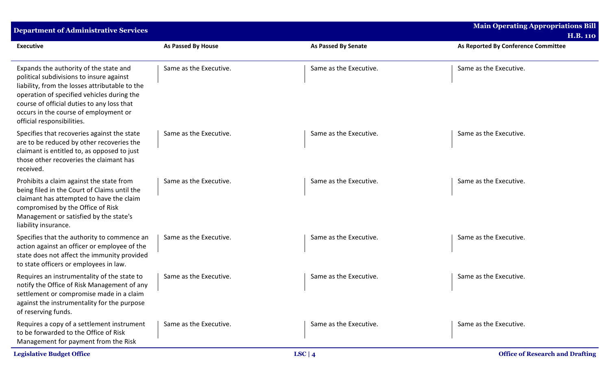| <b>Department of Administrative Services</b>                                                                                                                                                                                                                                                            |                           |                            | <b>Main Operating Appropriations Bill</b> |
|---------------------------------------------------------------------------------------------------------------------------------------------------------------------------------------------------------------------------------------------------------------------------------------------------------|---------------------------|----------------------------|-------------------------------------------|
|                                                                                                                                                                                                                                                                                                         |                           |                            | <b>H.B. 110</b>                           |
| <b>Executive</b>                                                                                                                                                                                                                                                                                        | <b>As Passed By House</b> | <b>As Passed By Senate</b> | As Reported By Conference Committee       |
| Expands the authority of the state and<br>political subdivisions to insure against<br>liability, from the losses attributable to the<br>operation of specified vehicles during the<br>course of official duties to any loss that<br>occurs in the course of employment or<br>official responsibilities. | Same as the Executive.    | Same as the Executive.     | Same as the Executive.                    |
| Specifies that recoveries against the state<br>are to be reduced by other recoveries the<br>claimant is entitled to, as opposed to just<br>those other recoveries the claimant has<br>received.                                                                                                         | Same as the Executive.    | Same as the Executive.     | Same as the Executive.                    |
| Prohibits a claim against the state from<br>being filed in the Court of Claims until the<br>claimant has attempted to have the claim<br>compromised by the Office of Risk<br>Management or satisfied by the state's<br>liability insurance.                                                             | Same as the Executive.    | Same as the Executive.     | Same as the Executive.                    |
| Specifies that the authority to commence an<br>action against an officer or employee of the<br>state does not affect the immunity provided<br>to state officers or employees in law.                                                                                                                    | Same as the Executive.    | Same as the Executive.     | Same as the Executive.                    |
| Requires an instrumentality of the state to<br>notify the Office of Risk Management of any<br>settlement or compromise made in a claim<br>against the instrumentality for the purpose<br>of reserving funds.                                                                                            | Same as the Executive.    | Same as the Executive.     | Same as the Executive.                    |
| Requires a copy of a settlement instrument<br>to be forwarded to the Office of Risk<br>Management for payment from the Risk                                                                                                                                                                             | Same as the Executive.    | Same as the Executive.     | Same as the Executive.                    |
| <b>Legislative Budget Office</b>                                                                                                                                                                                                                                                                        |                           | LSC   $4$                  | <b>Office of Research and Drafting</b>    |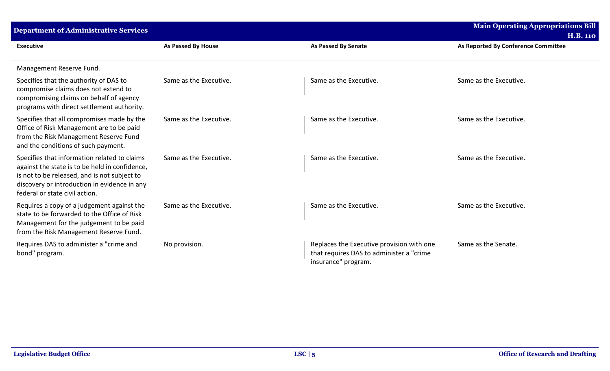| <b>Department of Administrative Services</b>                                                                                                                                                                                     |                        |                                                                                                              | <b>Main Operating Appropriations Bill</b> |
|----------------------------------------------------------------------------------------------------------------------------------------------------------------------------------------------------------------------------------|------------------------|--------------------------------------------------------------------------------------------------------------|-------------------------------------------|
|                                                                                                                                                                                                                                  |                        |                                                                                                              | <b>H.B. 110</b>                           |
| <b>Executive</b>                                                                                                                                                                                                                 | As Passed By House     | <b>As Passed By Senate</b>                                                                                   | As Reported By Conference Committee       |
| Management Reserve Fund.                                                                                                                                                                                                         |                        |                                                                                                              |                                           |
| Specifies that the authority of DAS to<br>compromise claims does not extend to<br>compromising claims on behalf of agency<br>programs with direct settlement authority.                                                          | Same as the Executive. | Same as the Executive.                                                                                       | Same as the Executive.                    |
| Specifies that all compromises made by the<br>Office of Risk Management are to be paid<br>from the Risk Management Reserve Fund<br>and the conditions of such payment.                                                           | Same as the Executive. | Same as the Executive.                                                                                       | Same as the Executive.                    |
| Specifies that information related to claims<br>against the state is to be held in confidence,<br>is not to be released, and is not subject to<br>discovery or introduction in evidence in any<br>federal or state civil action. | Same as the Executive. | Same as the Executive.                                                                                       | Same as the Executive.                    |
| Requires a copy of a judgement against the<br>state to be forwarded to the Office of Risk<br>Management for the judgement to be paid<br>from the Risk Management Reserve Fund.                                                   | Same as the Executive. | Same as the Executive.                                                                                       | Same as the Executive.                    |
| Requires DAS to administer a "crime and<br>bond" program.                                                                                                                                                                        | No provision.          | Replaces the Executive provision with one<br>that requires DAS to administer a "crime<br>insurance" program. | Same as the Senate.                       |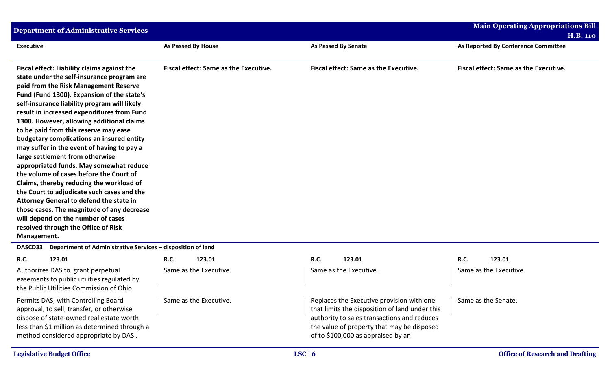| <b>Department of Administrative Services</b>                                                                                                                                                                                                                                                                                                                                                                                                                                                                                                                                                                                                                                                                                                                                                                                                                            |                                       |                                                                                             | <b>Main Operating Appropriations Bill</b> |
|-------------------------------------------------------------------------------------------------------------------------------------------------------------------------------------------------------------------------------------------------------------------------------------------------------------------------------------------------------------------------------------------------------------------------------------------------------------------------------------------------------------------------------------------------------------------------------------------------------------------------------------------------------------------------------------------------------------------------------------------------------------------------------------------------------------------------------------------------------------------------|---------------------------------------|---------------------------------------------------------------------------------------------|-------------------------------------------|
|                                                                                                                                                                                                                                                                                                                                                                                                                                                                                                                                                                                                                                                                                                                                                                                                                                                                         |                                       |                                                                                             | <b>H.B. 110</b>                           |
| <b>Executive</b>                                                                                                                                                                                                                                                                                                                                                                                                                                                                                                                                                                                                                                                                                                                                                                                                                                                        | <b>As Passed By House</b>             | <b>As Passed By Senate</b>                                                                  | As Reported By Conference Committee       |
| Fiscal effect: Liability claims against the<br>state under the self-insurance program are<br>paid from the Risk Management Reserve<br>Fund (Fund 1300). Expansion of the state's<br>self-insurance liability program will likely<br>result in increased expenditures from Fund<br>1300. However, allowing additional claims<br>to be paid from this reserve may ease<br>budgetary complications an insured entity<br>may suffer in the event of having to pay a<br>large settlement from otherwise<br>appropriated funds. May somewhat reduce<br>the volume of cases before the Court of<br>Claims, thereby reducing the workload of<br>the Court to adjudicate such cases and the<br>Attorney General to defend the state in<br>those cases. The magnitude of any decrease<br>will depend on the number of cases<br>resolved through the Office of Risk<br>Management. | Fiscal effect: Same as the Executive. | Fiscal effect: Same as the Executive.                                                       | Fiscal effect: Same as the Executive.     |
| Department of Administrative Services - disposition of land<br><b>DASCD33</b>                                                                                                                                                                                                                                                                                                                                                                                                                                                                                                                                                                                                                                                                                                                                                                                           |                                       |                                                                                             |                                           |
| R.C.<br>123.01                                                                                                                                                                                                                                                                                                                                                                                                                                                                                                                                                                                                                                                                                                                                                                                                                                                          | <b>R.C.</b><br>123.01                 | <b>R.C.</b><br>123.01                                                                       | <b>R.C.</b><br>123.01                     |
| Authorizes DAS to grant perpetual<br>easements to public utilities regulated by<br>the Public Utilities Commission of Ohio.                                                                                                                                                                                                                                                                                                                                                                                                                                                                                                                                                                                                                                                                                                                                             | Same as the Executive.                | Same as the Executive.                                                                      | Same as the Executive.                    |
| Permits DAS, with Controlling Board<br>approval, to sell, transfer, or otherwise                                                                                                                                                                                                                                                                                                                                                                                                                                                                                                                                                                                                                                                                                                                                                                                        | Same as the Executive.                | Replaces the Executive provision with one<br>that limits the disposition of land under this | Same as the Senate.                       |

approval, to sell, transfer, or otherwise dispose of state-owned real estate worth less than \$1 million as determined through a method considered appropriate by DAS .

authority to sales transactions and reduces the value of property that may be disposed

of to \$100,000 as appraised by an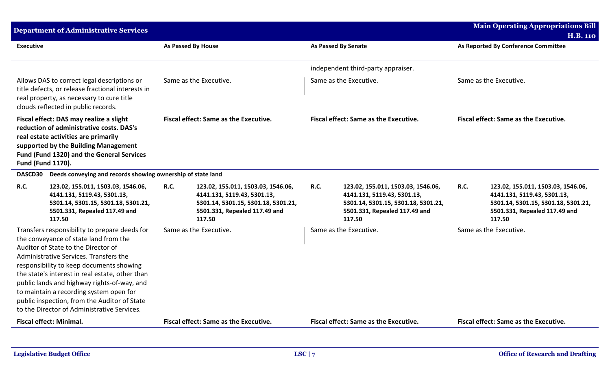|                          | <b>Department of Administrative Services</b>                                                                                                                                                                                                                                                                                                                                                                                                                    |                           |                                                                                                                                                     |             |                                                                                                                                                     |             | <b>Main Operating Appropriations Bill</b>                                                                                                           |
|--------------------------|-----------------------------------------------------------------------------------------------------------------------------------------------------------------------------------------------------------------------------------------------------------------------------------------------------------------------------------------------------------------------------------------------------------------------------------------------------------------|---------------------------|-----------------------------------------------------------------------------------------------------------------------------------------------------|-------------|-----------------------------------------------------------------------------------------------------------------------------------------------------|-------------|-----------------------------------------------------------------------------------------------------------------------------------------------------|
|                          |                                                                                                                                                                                                                                                                                                                                                                                                                                                                 |                           |                                                                                                                                                     |             |                                                                                                                                                     |             | <b>H.B. 110</b>                                                                                                                                     |
| <b>Executive</b>         |                                                                                                                                                                                                                                                                                                                                                                                                                                                                 | <b>As Passed By House</b> |                                                                                                                                                     |             | <b>As Passed By Senate</b>                                                                                                                          |             | As Reported By Conference Committee                                                                                                                 |
|                          |                                                                                                                                                                                                                                                                                                                                                                                                                                                                 |                           |                                                                                                                                                     |             | independent third-party appraiser.                                                                                                                  |             |                                                                                                                                                     |
|                          | Allows DAS to correct legal descriptions or<br>title defects, or release fractional interests in<br>real property, as necessary to cure title<br>clouds reflected in public records.                                                                                                                                                                                                                                                                            |                           | Same as the Executive.                                                                                                                              |             | Same as the Executive.                                                                                                                              |             | Same as the Executive.                                                                                                                              |
| <b>Fund (Fund 1170).</b> | Fiscal effect: DAS may realize a slight<br>reduction of administrative costs. DAS's<br>real estate activities are primarily<br>supported by the Building Management<br>Fund (Fund 1320) and the General Services                                                                                                                                                                                                                                                |                           | <b>Fiscal effect: Same as the Executive.</b>                                                                                                        |             | <b>Fiscal effect: Same as the Executive.</b>                                                                                                        |             | <b>Fiscal effect: Same as the Executive.</b>                                                                                                        |
| DASCD30                  | Deeds conveying and records showing ownership of state land                                                                                                                                                                                                                                                                                                                                                                                                     |                           |                                                                                                                                                     |             |                                                                                                                                                     |             |                                                                                                                                                     |
| <b>R.C.</b>              | 123.02, 155.011, 1503.03, 1546.06,<br>4141.131, 5119.43, 5301.13,<br>5301.14, 5301.15, 5301.18, 5301.21,<br>5501.331, Repealed 117.49 and<br>117.50                                                                                                                                                                                                                                                                                                             | <b>R.C.</b>               | 123.02, 155.011, 1503.03, 1546.06,<br>4141.131, 5119.43, 5301.13,<br>5301.14, 5301.15, 5301.18, 5301.21,<br>5501.331, Repealed 117.49 and<br>117.50 | <b>R.C.</b> | 123.02, 155.011, 1503.03, 1546.06,<br>4141.131, 5119.43, 5301.13,<br>5301.14, 5301.15, 5301.18, 5301.21,<br>5501.331, Repealed 117.49 and<br>117.50 | <b>R.C.</b> | 123.02, 155.011, 1503.03, 1546.06,<br>4141.131, 5119.43, 5301.13,<br>5301.14, 5301.15, 5301.18, 5301.21,<br>5501.331, Repealed 117.49 and<br>117.50 |
|                          | Transfers responsibility to prepare deeds for<br>the conveyance of state land from the<br>Auditor of State to the Director of<br>Administrative Services. Transfers the<br>responsibility to keep documents showing<br>the state's interest in real estate, other than<br>public lands and highway rights-of-way, and<br>to maintain a recording system open for<br>public inspection, from the Auditor of State<br>to the Director of Administrative Services. |                           | Same as the Executive.                                                                                                                              |             | Same as the Executive.                                                                                                                              |             | Same as the Executive.                                                                                                                              |
|                          | <b>Fiscal effect: Minimal.</b>                                                                                                                                                                                                                                                                                                                                                                                                                                  |                           | Fiscal effect: Same as the Executive.                                                                                                               |             | Fiscal effect: Same as the Executive.                                                                                                               |             | Fiscal effect: Same as the Executive.                                                                                                               |
|                          |                                                                                                                                                                                                                                                                                                                                                                                                                                                                 |                           |                                                                                                                                                     |             |                                                                                                                                                     |             |                                                                                                                                                     |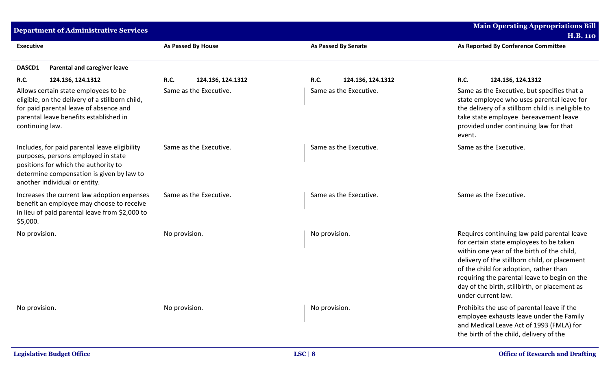| <b>Department of Administrative Services</b>                                                                                                                                                               |                                  |                                  | <b>Main Operating Appropriations Bill</b>                                                                                                                                                                                                                                                                                                              |
|------------------------------------------------------------------------------------------------------------------------------------------------------------------------------------------------------------|----------------------------------|----------------------------------|--------------------------------------------------------------------------------------------------------------------------------------------------------------------------------------------------------------------------------------------------------------------------------------------------------------------------------------------------------|
|                                                                                                                                                                                                            |                                  |                                  | <b>H.B. 110</b>                                                                                                                                                                                                                                                                                                                                        |
| <b>Executive</b>                                                                                                                                                                                           | As Passed By House               | <b>As Passed By Senate</b>       | As Reported By Conference Committee                                                                                                                                                                                                                                                                                                                    |
| DASCD1<br><b>Parental and caregiver leave</b>                                                                                                                                                              |                                  |                                  |                                                                                                                                                                                                                                                                                                                                                        |
| <b>R.C.</b><br>124.136, 124.1312                                                                                                                                                                           | <b>R.C.</b><br>124.136, 124.1312 | <b>R.C.</b><br>124.136, 124.1312 | <b>R.C.</b><br>124.136, 124.1312                                                                                                                                                                                                                                                                                                                       |
| Allows certain state employees to be<br>eligible, on the delivery of a stillborn child,<br>for paid parental leave of absence and<br>parental leave benefits established in<br>continuing law.             | Same as the Executive.           | Same as the Executive.           | Same as the Executive, but specifies that a<br>state employee who uses parental leave for<br>the delivery of a stillborn child is ineligible to<br>take state employee bereavement leave<br>provided under continuing law for that<br>event.                                                                                                           |
| Includes, for paid parental leave eligibility<br>purposes, persons employed in state<br>positions for which the authority to<br>determine compensation is given by law to<br>another individual or entity. | Same as the Executive.           | Same as the Executive.           | Same as the Executive.                                                                                                                                                                                                                                                                                                                                 |
| Increases the current law adoption expenses<br>benefit an employee may choose to receive<br>in lieu of paid parental leave from \$2,000 to<br>\$5,000.                                                     | Same as the Executive.           | Same as the Executive.           | Same as the Executive.                                                                                                                                                                                                                                                                                                                                 |
| No provision.                                                                                                                                                                                              | No provision.                    | No provision.                    | Requires continuing law paid parental leave<br>for certain state employees to be taken<br>within one year of the birth of the child,<br>delivery of the stillborn child, or placement<br>of the child for adoption, rather than<br>requiring the parental leave to begin on the<br>day of the birth, stillbirth, or placement as<br>under current law. |
| No provision.                                                                                                                                                                                              | No provision.                    | No provision.                    | Prohibits the use of parental leave if the<br>employee exhausts leave under the Family<br>and Medical Leave Act of 1993 (FMLA) for<br>the birth of the child, delivery of the                                                                                                                                                                          |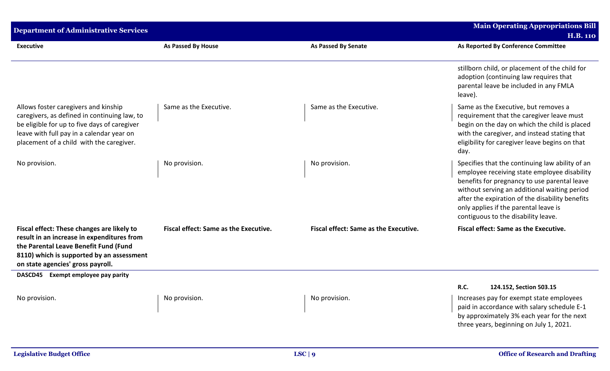| <b>Department of Administrative Services</b>                                                                                                                                                                                  |                                              |                                              | <b>Main Operating Appropriations Bill</b><br><b>H.B. 110</b>                                                                                                                                                                                                                                                                       |
|-------------------------------------------------------------------------------------------------------------------------------------------------------------------------------------------------------------------------------|----------------------------------------------|----------------------------------------------|------------------------------------------------------------------------------------------------------------------------------------------------------------------------------------------------------------------------------------------------------------------------------------------------------------------------------------|
| <b>Executive</b>                                                                                                                                                                                                              | <b>As Passed By House</b>                    | <b>As Passed By Senate</b>                   | As Reported By Conference Committee                                                                                                                                                                                                                                                                                                |
|                                                                                                                                                                                                                               |                                              |                                              | stillborn child, or placement of the child for<br>adoption (continuing law requires that<br>parental leave be included in any FMLA<br>leave).                                                                                                                                                                                      |
| Allows foster caregivers and kinship<br>caregivers, as defined in continuing law, to<br>be eligible for up to five days of caregiver<br>leave with full pay in a calendar year on<br>placement of a child with the caregiver. | Same as the Executive.                       | Same as the Executive.                       | Same as the Executive, but removes a<br>requirement that the caregiver leave must<br>begin on the day on which the child is placed<br>with the caregiver, and instead stating that<br>eligibility for caregiver leave begins on that<br>day.                                                                                       |
| No provision.                                                                                                                                                                                                                 | No provision.                                | No provision.                                | Specifies that the continuing law ability of an<br>employee receiving state employee disability<br>benefits for pregnancy to use parental leave<br>without serving an additional waiting period<br>after the expiration of the disability benefits<br>only applies if the parental leave is<br>contiguous to the disability leave. |
| Fiscal effect: These changes are likely to<br>result in an increase in expenditures from<br>the Parental Leave Benefit Fund (Fund<br>8110) which is supported by an assessment<br>on state agencies' gross payroll.           | <b>Fiscal effect: Same as the Executive.</b> | <b>Fiscal effect: Same as the Executive.</b> | <b>Fiscal effect: Same as the Executive.</b>                                                                                                                                                                                                                                                                                       |
| DASCD45 Exempt employee pay parity                                                                                                                                                                                            |                                              |                                              | R.C.<br>124.152, Section 503.15                                                                                                                                                                                                                                                                                                    |
| No provision.                                                                                                                                                                                                                 | No provision.                                | No provision.                                | Increases pay for exempt state employees<br>paid in accordance with salary schedule E-1<br>by approximately 3% each year for the next<br>three years, beginning on July 1, 2021.                                                                                                                                                   |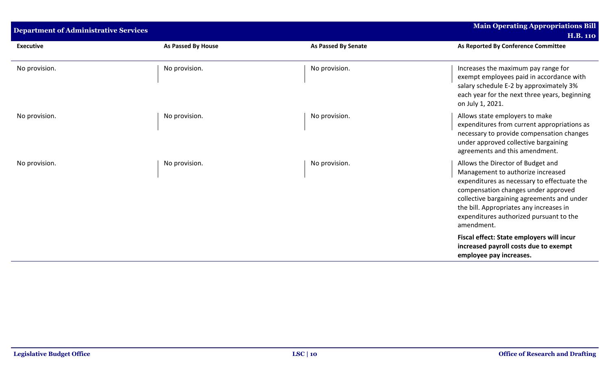| <b>Department of Administrative Services</b> |                           |                            | <b>Main Operating Appropriations Bill</b>                                                                                                                                                                                                                                                                      |
|----------------------------------------------|---------------------------|----------------------------|----------------------------------------------------------------------------------------------------------------------------------------------------------------------------------------------------------------------------------------------------------------------------------------------------------------|
|                                              |                           |                            | <b>H.B. 110</b>                                                                                                                                                                                                                                                                                                |
| <b>Executive</b>                             | <b>As Passed By House</b> | <b>As Passed By Senate</b> | As Reported By Conference Committee                                                                                                                                                                                                                                                                            |
| No provision.                                | No provision.             | No provision.              | Increases the maximum pay range for<br>exempt employees paid in accordance with<br>salary schedule E-2 by approximately 3%<br>each year for the next three years, beginning<br>on July 1, 2021.                                                                                                                |
| No provision.                                | No provision.             | No provision.              | Allows state employers to make<br>expenditures from current appropriations as<br>necessary to provide compensation changes<br>under approved collective bargaining<br>agreements and this amendment.                                                                                                           |
| No provision.                                | No provision.             | No provision.              | Allows the Director of Budget and<br>Management to authorize increased<br>expenditures as necessary to effectuate the<br>compensation changes under approved<br>collective bargaining agreements and under<br>the bill. Appropriates any increases in<br>expenditures authorized pursuant to the<br>amendment. |
|                                              |                           |                            | Fiscal effect: State employers will incur<br>increased payroll costs due to exempt<br>employee pay increases.                                                                                                                                                                                                  |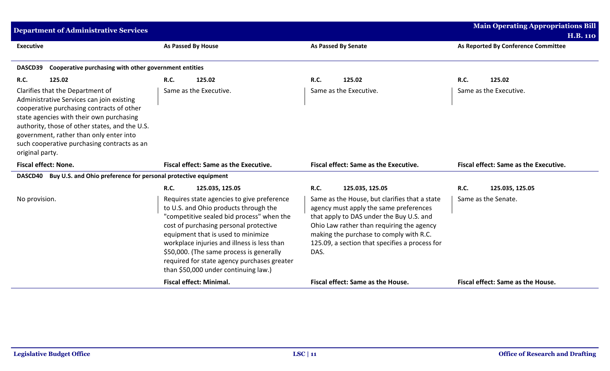| <b>Department of Administrative Services</b>                                                                                                                                                                                                                                                                                          |                                                                                                                                                                                                                                                                                                                                                                                                    |                                                                                                                                                                                                                                                                                       | <b>Main Operating Appropriations Bill</b>    |  |  |  |
|---------------------------------------------------------------------------------------------------------------------------------------------------------------------------------------------------------------------------------------------------------------------------------------------------------------------------------------|----------------------------------------------------------------------------------------------------------------------------------------------------------------------------------------------------------------------------------------------------------------------------------------------------------------------------------------------------------------------------------------------------|---------------------------------------------------------------------------------------------------------------------------------------------------------------------------------------------------------------------------------------------------------------------------------------|----------------------------------------------|--|--|--|
|                                                                                                                                                                                                                                                                                                                                       |                                                                                                                                                                                                                                                                                                                                                                                                    |                                                                                                                                                                                                                                                                                       | <b>H.B. 110</b>                              |  |  |  |
| <b>Executive</b>                                                                                                                                                                                                                                                                                                                      | As Passed By House                                                                                                                                                                                                                                                                                                                                                                                 | <b>As Passed By Senate</b>                                                                                                                                                                                                                                                            | As Reported By Conference Committee          |  |  |  |
|                                                                                                                                                                                                                                                                                                                                       |                                                                                                                                                                                                                                                                                                                                                                                                    |                                                                                                                                                                                                                                                                                       |                                              |  |  |  |
| DASCD39<br>Cooperative purchasing with other government entities                                                                                                                                                                                                                                                                      |                                                                                                                                                                                                                                                                                                                                                                                                    |                                                                                                                                                                                                                                                                                       |                                              |  |  |  |
| R.C.<br>125.02                                                                                                                                                                                                                                                                                                                        | <b>R.C.</b><br>125.02                                                                                                                                                                                                                                                                                                                                                                              | <b>R.C.</b><br>125.02                                                                                                                                                                                                                                                                 | <b>R.C.</b><br>125.02                        |  |  |  |
| Clarifies that the Department of<br>Administrative Services can join existing<br>cooperative purchasing contracts of other<br>state agencies with their own purchasing<br>authority, those of other states, and the U.S.<br>government, rather than only enter into<br>such cooperative purchasing contracts as an<br>original party. | Same as the Executive.                                                                                                                                                                                                                                                                                                                                                                             | Same as the Executive.                                                                                                                                                                                                                                                                | Same as the Executive.                       |  |  |  |
| <b>Fiscal effect: None.</b>                                                                                                                                                                                                                                                                                                           | <b>Fiscal effect: Same as the Executive.</b>                                                                                                                                                                                                                                                                                                                                                       | <b>Fiscal effect: Same as the Executive.</b>                                                                                                                                                                                                                                          | <b>Fiscal effect: Same as the Executive.</b> |  |  |  |
| Buy U.S. and Ohio preference for personal protective equipment<br><b>DASCD40</b>                                                                                                                                                                                                                                                      |                                                                                                                                                                                                                                                                                                                                                                                                    |                                                                                                                                                                                                                                                                                       |                                              |  |  |  |
|                                                                                                                                                                                                                                                                                                                                       | <b>R.C.</b><br>125.035, 125.05                                                                                                                                                                                                                                                                                                                                                                     | <b>R.C.</b><br>125.035, 125.05                                                                                                                                                                                                                                                        | R.C.<br>125.035, 125.05                      |  |  |  |
| No provision.                                                                                                                                                                                                                                                                                                                         | Requires state agencies to give preference<br>to U.S. and Ohio products through the<br>"competitive sealed bid process" when the<br>cost of purchasing personal protective<br>equipment that is used to minimize<br>workplace injuries and illness is less than<br>\$50,000. (The same process is generally<br>required for state agency purchases greater<br>than \$50,000 under continuing law.) | Same as the House, but clarifies that a state<br>agency must apply the same preferences<br>that apply to DAS under the Buy U.S. and<br>Ohio Law rather than requiring the agency<br>making the purchase to comply with R.C.<br>125.09, a section that specifies a process for<br>DAS. | Same as the Senate.                          |  |  |  |
|                                                                                                                                                                                                                                                                                                                                       | <b>Fiscal effect: Minimal.</b>                                                                                                                                                                                                                                                                                                                                                                     | Fiscal effect: Same as the House.                                                                                                                                                                                                                                                     | Fiscal effect: Same as the House.            |  |  |  |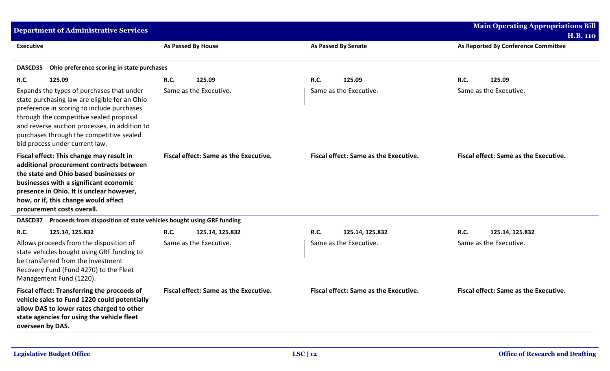| <b>Department of Administrative Services</b>                                                                                                                                                                                                                                                                       |                                              |                                              | <b>Main Operating Appropriations Bill</b> |
|--------------------------------------------------------------------------------------------------------------------------------------------------------------------------------------------------------------------------------------------------------------------------------------------------------------------|----------------------------------------------|----------------------------------------------|-------------------------------------------|
|                                                                                                                                                                                                                                                                                                                    |                                              |                                              | <b>H.B. 110</b>                           |
| <b>Executive</b>                                                                                                                                                                                                                                                                                                   | <b>As Passed By House</b>                    | <b>As Passed By Senate</b>                   | As Reported By Conference Committee       |
| Ohio preference scoring in state purchases<br><b>DASCD35</b>                                                                                                                                                                                                                                                       |                                              |                                              |                                           |
| <b>R.C.</b><br>125.09                                                                                                                                                                                                                                                                                              | R.C.<br>125.09                               | 125.09<br>R.C.                               | R.C.<br>125.09                            |
| Expands the types of purchases that under<br>state purchasing law are eligible for an Ohio<br>preference in scoring to include purchases<br>through the competitive sealed proposal<br>and reverse auction processes, in addition to<br>purchases through the competitive sealed<br>bid process under current law. | Same as the Executive.                       | Same as the Executive.                       | Same as the Executive.                    |
| Fiscal effect: This change may result in<br>additional procurement contracts between<br>the state and Ohio based businesses or<br>businesses with a significant economic<br>presence in Ohio. It is unclear however,<br>how, or if, this change would affect<br>procurement costs overall.                         | Fiscal effect: Same as the Executive.        | <b>Fiscal effect: Same as the Executive.</b> | Fiscal effect: Same as the Executive.     |
| Proceeds from disposition of state vehicles bought using GRF funding<br><b>DASCD37</b>                                                                                                                                                                                                                             |                                              |                                              |                                           |
| <b>R.C.</b><br>125.14, 125.832                                                                                                                                                                                                                                                                                     | R.C.<br>125.14, 125.832                      | <b>R.C.</b><br>125.14, 125.832               | R.C.<br>125.14, 125.832                   |
| Allows proceeds from the disposition of<br>state vehicles bought using GRF funding to<br>be transferred from the Investment<br>Recovery Fund (Fund 4270) to the Fleet<br>Management Fund (1220).                                                                                                                   | Same as the Executive.                       | Same as the Executive.                       | Same as the Executive.                    |
| Fiscal effect: Transferring the proceeds of<br>vehicle sales to Fund 1220 could potentially<br>allow DAS to lower rates charged to other<br>state agencies for using the vehicle fleet<br>overseen by DAS.                                                                                                         | <b>Fiscal effect: Same as the Executive.</b> | <b>Fiscal effect: Same as the Executive.</b> | Fiscal effect: Same as the Executive.     |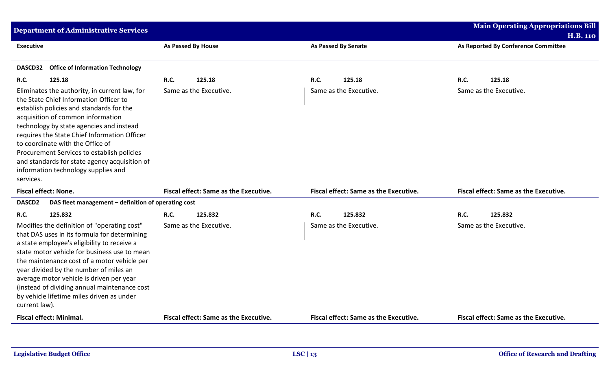| <b>H.B. 110</b>                       |                                       |                                       |                    | <b>Department of Administrative Services</b>                                                                                                                                                                                                                                                                                                                                                                                                   |                             |
|---------------------------------------|---------------------------------------|---------------------------------------|--------------------|------------------------------------------------------------------------------------------------------------------------------------------------------------------------------------------------------------------------------------------------------------------------------------------------------------------------------------------------------------------------------------------------------------------------------------------------|-----------------------------|
|                                       |                                       |                                       |                    |                                                                                                                                                                                                                                                                                                                                                                                                                                                |                             |
| As Reported By Conference Committee   | <b>As Passed By Senate</b>            |                                       | As Passed By House |                                                                                                                                                                                                                                                                                                                                                                                                                                                | <b>Executive</b>            |
|                                       |                                       |                                       |                    |                                                                                                                                                                                                                                                                                                                                                                                                                                                |                             |
|                                       |                                       |                                       |                    | <b>Office of Information Technology</b>                                                                                                                                                                                                                                                                                                                                                                                                        | <b>DASCD32</b>              |
| <b>R.C.</b><br>125.18                 | R.C.<br>125.18                        | 125.18                                | <b>R.C.</b>        | 125.18                                                                                                                                                                                                                                                                                                                                                                                                                                         | <b>R.C.</b>                 |
| Same as the Executive.                | Same as the Executive.                | Same as the Executive.                |                    | Eliminates the authority, in current law, for<br>the State Chief Information Officer to<br>establish policies and standards for the<br>acquisition of common information<br>technology by state agencies and instead<br>requires the State Chief Information Officer<br>to coordinate with the Office of<br>Procurement Services to establish policies<br>and standards for state agency acquisition of<br>information technology supplies and | services.                   |
| Fiscal effect: Same as the Executive. | Fiscal effect: Same as the Executive. | Fiscal effect: Same as the Executive. |                    |                                                                                                                                                                                                                                                                                                                                                                                                                                                | <b>Fiscal effect: None.</b> |
|                                       |                                       |                                       |                    | DAS fleet management - definition of operating cost                                                                                                                                                                                                                                                                                                                                                                                            | DASCD <sub>2</sub>          |
| <b>R.C.</b><br>125.832                | R.C.<br>125.832                       | 125.832                               | R.C.               | 125.832                                                                                                                                                                                                                                                                                                                                                                                                                                        | <b>R.C.</b>                 |
| Same as the Executive.                | Same as the Executive.                | Same as the Executive.                |                    | Modifies the definition of "operating cost"<br>that DAS uses in its formula for determining<br>a state employee's eligibility to receive a<br>state motor vehicle for business use to mean<br>the maintenance cost of a motor vehicle per<br>year divided by the number of miles an<br>average motor vehicle is driven per year<br>(instead of dividing annual maintenance cost<br>by vehicle lifetime miles driven as under                   | current law).               |
|                                       | Fiscal effect: Same as the Executive. | Fiscal effect: Same as the Executive. |                    | <b>Fiscal effect: Minimal.</b>                                                                                                                                                                                                                                                                                                                                                                                                                 |                             |
|                                       |                                       |                                       |                    |                                                                                                                                                                                                                                                                                                                                                                                                                                                |                             |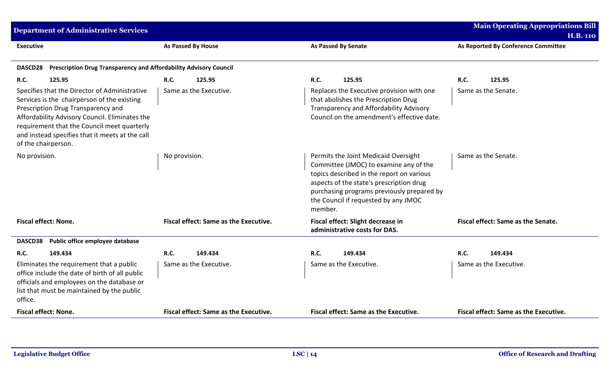| Department of Administrative Services                                                                                                                                                                                                                                                                         |                                       |                                                                                                                                                                                                                                                                          | <b>Main Operating Appropriations Bill</b><br><b>H.B. 110</b> |
|---------------------------------------------------------------------------------------------------------------------------------------------------------------------------------------------------------------------------------------------------------------------------------------------------------------|---------------------------------------|--------------------------------------------------------------------------------------------------------------------------------------------------------------------------------------------------------------------------------------------------------------------------|--------------------------------------------------------------|
| <b>Executive</b>                                                                                                                                                                                                                                                                                              | As Passed By House                    | As Passed By Senate                                                                                                                                                                                                                                                      | As Reported By Conference Committee                          |
| Prescription Drug Transparency and Affordability Advisory Council<br><b>DASCD28</b>                                                                                                                                                                                                                           |                                       |                                                                                                                                                                                                                                                                          |                                                              |
| R.C.<br>125.95                                                                                                                                                                                                                                                                                                | R.C.<br>125.95                        | R.C.<br>125.95                                                                                                                                                                                                                                                           | R.C.<br>125.95                                               |
| Specifies that the Director of Administrative<br>Services is the chairperson of the existing<br>Prescription Drug Transparency and<br>Affordability Advisory Council. Eliminates the<br>requirement that the Council meet quarterly<br>and instead specifies that it meets at the call<br>of the chairperson. | Same as the Executive.                | Replaces the Executive provision with one<br>that abolishes the Prescription Drug<br>Transparency and Affordability Advisory<br>Council on the amendment's effective date.                                                                                               | Same as the Senate.                                          |
| No provision.                                                                                                                                                                                                                                                                                                 | No provision.                         | Permits the Joint Medicaid Oversight<br>Committee (JMOC) to examine any of the<br>topics described in the report on various<br>aspects of the state's prescription drug<br>purchasing programs previously prepared by<br>the Council if requested by any JMOC<br>member. | Same as the Senate.                                          |
| <b>Fiscal effect: None.</b>                                                                                                                                                                                                                                                                                   | Fiscal effect: Same as the Executive. | Fiscal effect: Slight decrease in<br>administrative costs for DAS.                                                                                                                                                                                                       | Fiscal effect: Same as the Senate.                           |
| Public office employee database<br><b>DASCD38</b>                                                                                                                                                                                                                                                             |                                       |                                                                                                                                                                                                                                                                          |                                                              |
| R.C.<br>149.434                                                                                                                                                                                                                                                                                               | R.C.<br>149.434                       | R.C.<br>149.434                                                                                                                                                                                                                                                          | <b>R.C.</b><br>149.434                                       |
| Eliminates the requirement that a public<br>office include the date of birth of all public<br>officials and employees on the database or<br>list that must be maintained by the public<br>office.                                                                                                             | Same as the Executive.                | Same as the Executive.                                                                                                                                                                                                                                                   | Same as the Executive.                                       |
| <b>Fiscal effect: None.</b>                                                                                                                                                                                                                                                                                   | Fiscal effect: Same as the Executive. | Fiscal effect: Same as the Executive.                                                                                                                                                                                                                                    | Fiscal effect: Same as the Executive.                        |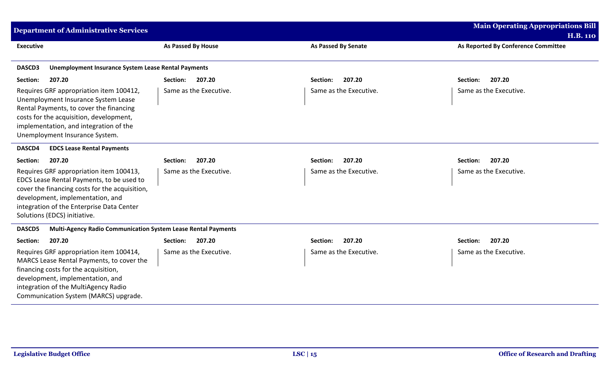| <b>Department of Administrative Services</b>                                                                                                                                                                                                            |                        |                            | <b>Main Operating Appropriations Bill</b><br><b>H.B. 110</b> |
|---------------------------------------------------------------------------------------------------------------------------------------------------------------------------------------------------------------------------------------------------------|------------------------|----------------------------|--------------------------------------------------------------|
| <b>Executive</b>                                                                                                                                                                                                                                        | As Passed By House     | <b>As Passed By Senate</b> | As Reported By Conference Committee                          |
| <b>Unemployment Insurance System Lease Rental Payments</b><br>DASCD3                                                                                                                                                                                    |                        |                            |                                                              |
| 207.20<br>Section:                                                                                                                                                                                                                                      | Section:<br>207.20     | 207.20<br>Section:         | 207.20<br>Section:                                           |
| Requires GRF appropriation item 100412,<br>Unemployment Insurance System Lease<br>Rental Payments, to cover the financing<br>costs for the acquisition, development,<br>implementation, and integration of the<br>Unemployment Insurance System.        | Same as the Executive. | Same as the Executive.     | Same as the Executive.                                       |
| <b>EDCS Lease Rental Payments</b><br>DASCD4                                                                                                                                                                                                             |                        |                            |                                                              |
| 207.20<br>Section:                                                                                                                                                                                                                                      | 207.20<br>Section:     | 207.20<br>Section:         | 207.20<br>Section:                                           |
| Requires GRF appropriation item 100413,<br>EDCS Lease Rental Payments, to be used to<br>cover the financing costs for the acquisition,<br>development, implementation, and<br>integration of the Enterprise Data Center<br>Solutions (EDCS) initiative. | Same as the Executive. | Same as the Executive.     | Same as the Executive.                                       |
| Multi-Agency Radio Communication System Lease Rental Payments<br>DASCD5                                                                                                                                                                                 |                        |                            |                                                              |
| 207.20<br>Section:                                                                                                                                                                                                                                      | 207.20<br>Section:     | 207.20<br>Section:         | 207.20<br>Section:                                           |
| Requires GRF appropriation item 100414,<br>MARCS Lease Rental Payments, to cover the<br>financing costs for the acquisition,<br>development, implementation, and<br>integration of the MultiAgency Radio<br>Communication System (MARCS) upgrade.       | Same as the Executive. | Same as the Executive.     | Same as the Executive.                                       |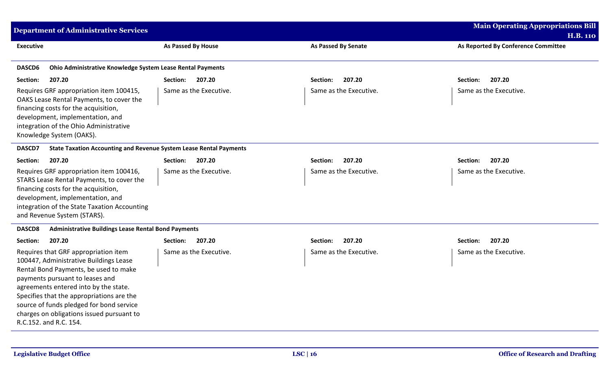| <b>Department of Administrative Services</b>                                                                                                                                                                                                                                                                                                                        |                        |                        | <b>Main Operating Appropriations Bill</b> |
|---------------------------------------------------------------------------------------------------------------------------------------------------------------------------------------------------------------------------------------------------------------------------------------------------------------------------------------------------------------------|------------------------|------------------------|-------------------------------------------|
|                                                                                                                                                                                                                                                                                                                                                                     |                        |                        | <b>H.B. 110</b>                           |
| <b>Executive</b>                                                                                                                                                                                                                                                                                                                                                    | As Passed By House     | As Passed By Senate    | As Reported By Conference Committee       |
| DASCD6<br>Ohio Administrative Knowledge System Lease Rental Payments                                                                                                                                                                                                                                                                                                |                        |                        |                                           |
| Section:<br>207.20                                                                                                                                                                                                                                                                                                                                                  | Section:<br>207.20     | 207.20<br>Section:     | 207.20<br>Section:                        |
| Requires GRF appropriation item 100415,<br>OAKS Lease Rental Payments, to cover the<br>financing costs for the acquisition,<br>development, implementation, and<br>integration of the Ohio Administrative<br>Knowledge System (OAKS).                                                                                                                               | Same as the Executive. | Same as the Executive. | Same as the Executive.                    |
| DASCD7<br><b>State Taxation Accounting and Revenue System Lease Rental Payments</b>                                                                                                                                                                                                                                                                                 |                        |                        |                                           |
| Section:<br>207.20                                                                                                                                                                                                                                                                                                                                                  | 207.20<br>Section:     | 207.20<br>Section:     | 207.20<br>Section:                        |
| Requires GRF appropriation item 100416,<br>STARS Lease Rental Payments, to cover the<br>financing costs for the acquisition,<br>development, implementation, and<br>integration of the State Taxation Accounting<br>and Revenue System (STARS).                                                                                                                     | Same as the Executive. | Same as the Executive. | Same as the Executive.                    |
| <b>Administrative Buildings Lease Rental Bond Payments</b><br><b>DASCD8</b>                                                                                                                                                                                                                                                                                         |                        |                        |                                           |
| Section:<br>207.20                                                                                                                                                                                                                                                                                                                                                  | 207.20<br>Section:     | 207.20<br>Section:     | 207.20<br>Section:                        |
| Requires that GRF appropriation item<br>100447, Administrative Buildings Lease<br>Rental Bond Payments, be used to make<br>payments pursuant to leases and<br>agreements entered into by the state.<br>Specifies that the appropriations are the<br>source of funds pledged for bond service<br>charges on obligations issued pursuant to<br>R.C.152. and R.C. 154. | Same as the Executive. | Same as the Executive. | Same as the Executive.                    |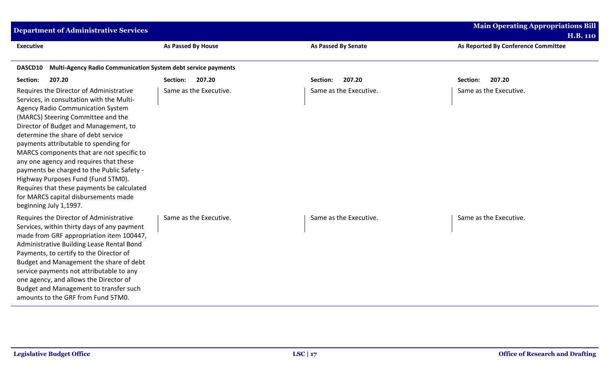| <b>Department of Administrative Services</b>                                                                                                                                                                                                                                                                                                                                                                                                                                                                                                                                               |                           |                            | <b>Main Operating Appropriations Bill</b><br><b>H.B. 110</b> |  |
|--------------------------------------------------------------------------------------------------------------------------------------------------------------------------------------------------------------------------------------------------------------------------------------------------------------------------------------------------------------------------------------------------------------------------------------------------------------------------------------------------------------------------------------------------------------------------------------------|---------------------------|----------------------------|--------------------------------------------------------------|--|
| <b>Executive</b>                                                                                                                                                                                                                                                                                                                                                                                                                                                                                                                                                                           | <b>As Passed By House</b> | <b>As Passed By Senate</b> | As Reported By Conference Committee                          |  |
| Multi-Agency Radio Communication System debt service payments<br>DASCD10                                                                                                                                                                                                                                                                                                                                                                                                                                                                                                                   |                           |                            |                                                              |  |
| 207.20<br>Section:                                                                                                                                                                                                                                                                                                                                                                                                                                                                                                                                                                         | 207.20<br><b>Section:</b> | 207.20<br>Section:         | 207.20<br>Section:                                           |  |
| Requires the Director of Administrative<br>Services, in consultation with the Multi-<br><b>Agency Radio Communication System</b><br>(MARCS) Steering Committee and the<br>Director of Budget and Management, to<br>determine the share of debt service<br>payments attributable to spending for<br>MARCS components that are not specific to<br>any one agency and requires that these<br>payments be charged to the Public Safety -<br>Highway Purposes Fund (Fund 5TM0).<br>Requires that these payments be calculated<br>for MARCS capital disbursements made<br>beginning July 1,1997. | Same as the Executive.    | Same as the Executive.     | Same as the Executive.                                       |  |
| Requires the Director of Administrative<br>Services, within thirty days of any payment<br>made from GRF appropriation item 100447,<br>Administrative Building Lease Rental Bond<br>Payments, to certify to the Director of<br>Budget and Management the share of debt<br>service payments not attributable to any<br>one agency, and allows the Director of<br>Budget and Management to transfer such<br>amounts to the GRF from Fund 5TM0.                                                                                                                                                | Same as the Executive.    | Same as the Executive.     | Same as the Executive.                                       |  |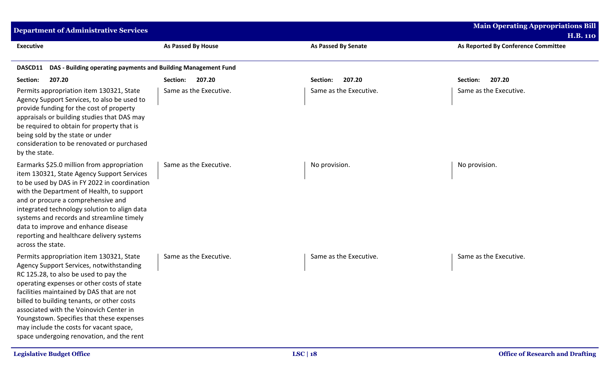| <b>Department of Administrative Services</b>                                                                                                                                                                                                                                                                                                                                                                                                           |                           |                            | <b>Main Operating Appropriations Bill</b><br><b>H.B. 110</b> |  |
|--------------------------------------------------------------------------------------------------------------------------------------------------------------------------------------------------------------------------------------------------------------------------------------------------------------------------------------------------------------------------------------------------------------------------------------------------------|---------------------------|----------------------------|--------------------------------------------------------------|--|
| <b>Executive</b>                                                                                                                                                                                                                                                                                                                                                                                                                                       | <b>As Passed By House</b> | <b>As Passed By Senate</b> | As Reported By Conference Committee                          |  |
| DAS - Building operating payments and Building Management Fund<br>DASCD11                                                                                                                                                                                                                                                                                                                                                                              |                           |                            |                                                              |  |
| Section:<br>207.20                                                                                                                                                                                                                                                                                                                                                                                                                                     | 207.20<br>Section:        | 207.20<br>Section:         | 207.20<br>Section:                                           |  |
| Permits appropriation item 130321, State<br>Agency Support Services, to also be used to<br>provide funding for the cost of property<br>appraisals or building studies that DAS may<br>be required to obtain for property that is<br>being sold by the state or under<br>consideration to be renovated or purchased<br>by the state.                                                                                                                    | Same as the Executive.    | Same as the Executive.     | Same as the Executive.                                       |  |
| Earmarks \$25.0 million from appropriation<br>item 130321, State Agency Support Services<br>to be used by DAS in FY 2022 in coordination<br>with the Department of Health, to support<br>and or procure a comprehensive and<br>integrated technology solution to align data<br>systems and records and streamline timely<br>data to improve and enhance disease<br>reporting and healthcare delivery systems<br>across the state.                      | Same as the Executive.    | No provision.              | No provision.                                                |  |
| Permits appropriation item 130321, State<br>Agency Support Services, notwithstanding<br>RC 125.28, to also be used to pay the<br>operating expenses or other costs of state<br>facilities maintained by DAS that are not<br>billed to building tenants, or other costs<br>associated with the Voinovich Center in<br>Youngstown. Specifies that these expenses<br>may include the costs for vacant space,<br>space undergoing renovation, and the rent | Same as the Executive.    | Same as the Executive.     | Same as the Executive.                                       |  |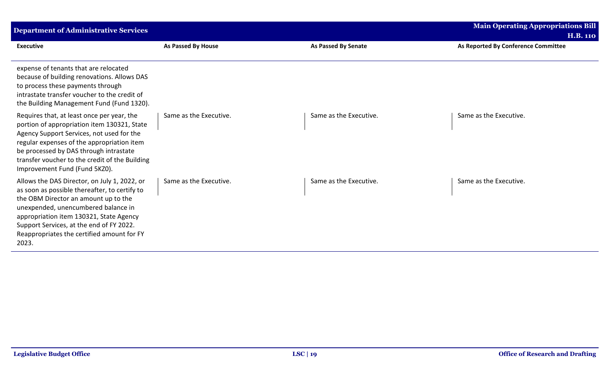| <b>Department of Administrative Services</b>                                                                                                                                                                                                                                                                               |                        |                            | <b>Main Operating Appropriations Bill</b> |
|----------------------------------------------------------------------------------------------------------------------------------------------------------------------------------------------------------------------------------------------------------------------------------------------------------------------------|------------------------|----------------------------|-------------------------------------------|
|                                                                                                                                                                                                                                                                                                                            |                        |                            | <b>H.B. 110</b>                           |
| <b>Executive</b>                                                                                                                                                                                                                                                                                                           | As Passed By House     | <b>As Passed By Senate</b> | As Reported By Conference Committee       |
| expense of tenants that are relocated<br>because of building renovations. Allows DAS<br>to process these payments through<br>intrastate transfer voucher to the credit of<br>the Building Management Fund (Fund 1320).                                                                                                     |                        |                            |                                           |
| Requires that, at least once per year, the<br>portion of appropriation item 130321, State<br>Agency Support Services, not used for the<br>regular expenses of the appropriation item<br>be processed by DAS through intrastate<br>transfer voucher to the credit of the Building<br>Improvement Fund (Fund 5KZ0).          | Same as the Executive. | Same as the Executive.     | Same as the Executive.                    |
| Allows the DAS Director, on July 1, 2022, or<br>as soon as possible thereafter, to certify to<br>the OBM Director an amount up to the<br>unexpended, unencumbered balance in<br>appropriation item 130321, State Agency<br>Support Services, at the end of FY 2022.<br>Reappropriates the certified amount for FY<br>2023. | Same as the Executive. | Same as the Executive.     | Same as the Executive.                    |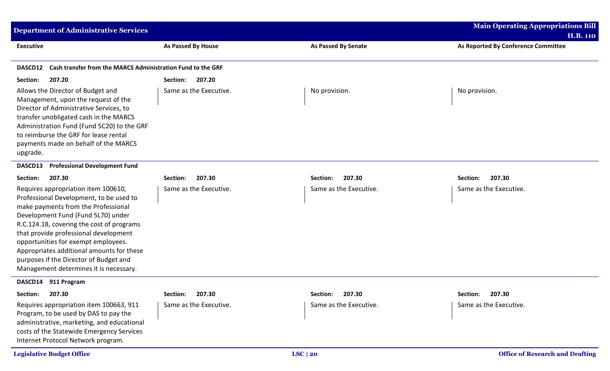| <b>Department of Administrative Services</b>                                                                                                                                                                                                                                                                                                                                                                              |                        |                            | <b>Main Operating Appropriations Bill</b>              |
|---------------------------------------------------------------------------------------------------------------------------------------------------------------------------------------------------------------------------------------------------------------------------------------------------------------------------------------------------------------------------------------------------------------------------|------------------------|----------------------------|--------------------------------------------------------|
| <b>Executive</b>                                                                                                                                                                                                                                                                                                                                                                                                          | As Passed By House     | <b>As Passed By Senate</b> | <b>H.B. 110</b><br>As Reported By Conference Committee |
|                                                                                                                                                                                                                                                                                                                                                                                                                           |                        |                            |                                                        |
| Cash transfer from the MARCS Administration Fund to the GRF<br><b>DASCD12</b>                                                                                                                                                                                                                                                                                                                                             |                        |                            |                                                        |
| 207.20<br>Section:                                                                                                                                                                                                                                                                                                                                                                                                        | 207.20<br>Section:     |                            |                                                        |
| Allows the Director of Budget and<br>Management, upon the request of the<br>Director of Administrative Services, to<br>transfer unobligated cash in the MARCS<br>Administration Fund (Fund 5C20) to the GRF<br>to reimburse the GRF for lease rental<br>payments made on behalf of the MARCS<br>upgrade.                                                                                                                  | Same as the Executive. | No provision.              | No provision.                                          |
| <b>Professional Development Fund</b><br><b>DASCD13</b>                                                                                                                                                                                                                                                                                                                                                                    |                        |                            |                                                        |
| 207.30<br>Section:                                                                                                                                                                                                                                                                                                                                                                                                        | 207.30<br>Section:     | 207.30<br><b>Section:</b>  | 207.30<br>Section:                                     |
| Requires appropriation item 100610,<br>Professional Development, to be used to<br>make payments from the Professional<br>Development Fund (Fund 5L70) under<br>R.C.124.18, covering the cost of programs<br>that provide professional development<br>opportunities for exempt employees.<br>Appropriates additional amounts for these<br>purposes if the Director of Budget and<br>Management determines it is necessary. | Same as the Executive. | Same as the Executive.     | Same as the Executive.                                 |
| DASCD14 911 Program                                                                                                                                                                                                                                                                                                                                                                                                       |                        |                            |                                                        |
| Section:<br>207.30                                                                                                                                                                                                                                                                                                                                                                                                        | Section:<br>207.30     | Section: 207.30            | Section:<br>207.30                                     |
| Requires appropriation item 100663, 911<br>Program, to be used by DAS to pay the<br>administrative, marketing, and educational<br>costs of the Statewide Emergency Services<br>Internet Protocol Network program.                                                                                                                                                                                                         | Same as the Executive. | Same as the Executive.     | Same as the Executive.                                 |
| <b>Legislative Budget Office</b>                                                                                                                                                                                                                                                                                                                                                                                          |                        | LSC   20                   | <b>Office of Research and Drafting</b>                 |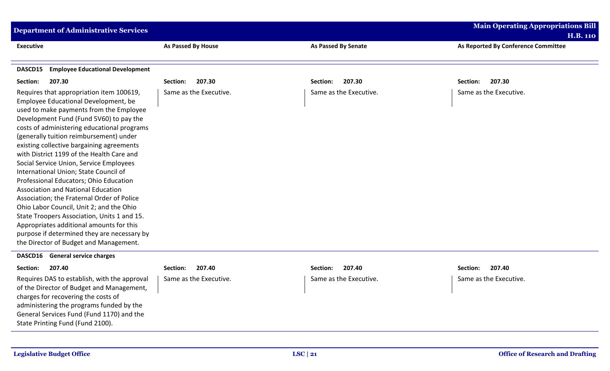| <b>Department of Administrative Services</b>                                                                                                                                                                                                                                                                                                                                                                                                                                                                                                                                                                                                                                                                                                                                                                        |                           |                            | <b>Main Operating Appropriations Bill</b> |
|---------------------------------------------------------------------------------------------------------------------------------------------------------------------------------------------------------------------------------------------------------------------------------------------------------------------------------------------------------------------------------------------------------------------------------------------------------------------------------------------------------------------------------------------------------------------------------------------------------------------------------------------------------------------------------------------------------------------------------------------------------------------------------------------------------------------|---------------------------|----------------------------|-------------------------------------------|
|                                                                                                                                                                                                                                                                                                                                                                                                                                                                                                                                                                                                                                                                                                                                                                                                                     |                           |                            | <b>H.B. 110</b>                           |
| <b>Executive</b>                                                                                                                                                                                                                                                                                                                                                                                                                                                                                                                                                                                                                                                                                                                                                                                                    | <b>As Passed By House</b> | <b>As Passed By Senate</b> | As Reported By Conference Committee       |
|                                                                                                                                                                                                                                                                                                                                                                                                                                                                                                                                                                                                                                                                                                                                                                                                                     |                           |                            |                                           |
| <b>Employee Educational Development</b><br>DASCD15                                                                                                                                                                                                                                                                                                                                                                                                                                                                                                                                                                                                                                                                                                                                                                  |                           |                            |                                           |
| Section:<br>207.30                                                                                                                                                                                                                                                                                                                                                                                                                                                                                                                                                                                                                                                                                                                                                                                                  | 207.30<br>Section:        | 207.30<br>Section:         | 207.30<br>Section:                        |
| Requires that appropriation item 100619,<br>Employee Educational Development, be<br>used to make payments from the Employee<br>Development Fund (Fund 5V60) to pay the<br>costs of administering educational programs<br>(generally tuition reimbursement) under<br>existing collective bargaining agreements<br>with District 1199 of the Health Care and<br>Social Service Union, Service Employees<br>International Union; State Council of<br>Professional Educators; Ohio Education<br><b>Association and National Education</b><br>Association; the Fraternal Order of Police<br>Ohio Labor Council, Unit 2; and the Ohio<br>State Troopers Association, Units 1 and 15.<br>Appropriates additional amounts for this<br>purpose if determined they are necessary by<br>the Director of Budget and Management. | Same as the Executive.    | Same as the Executive.     | Same as the Executive.                    |
| <b>General service charges</b><br>DASCD16                                                                                                                                                                                                                                                                                                                                                                                                                                                                                                                                                                                                                                                                                                                                                                           |                           |                            |                                           |
| 207.40<br>Section:                                                                                                                                                                                                                                                                                                                                                                                                                                                                                                                                                                                                                                                                                                                                                                                                  | 207.40<br>Section:        | 207.40<br>Section:         | 207.40<br>Section:                        |
| Requires DAS to establish, with the approval<br>of the Director of Budget and Management,<br>charges for recovering the costs of<br>administering the programs funded by the<br>General Services Fund (Fund 1170) and the<br>State Printing Fund (Fund 2100).                                                                                                                                                                                                                                                                                                                                                                                                                                                                                                                                                       | Same as the Executive.    | Same as the Executive.     | Same as the Executive.                    |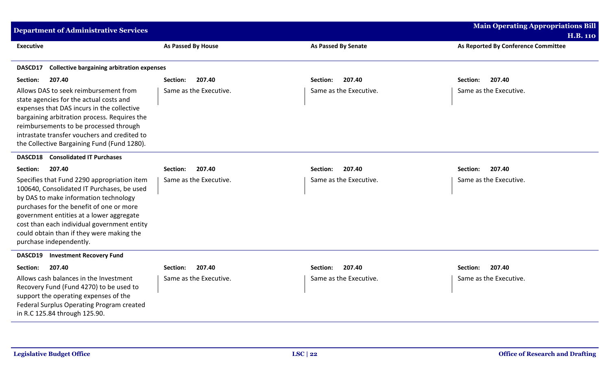| <b>Department of Administrative Services</b>                                                                                                                                                                                                                                                                                                      |                           |                            | <b>Main Operating Appropriations Bill</b>              |
|---------------------------------------------------------------------------------------------------------------------------------------------------------------------------------------------------------------------------------------------------------------------------------------------------------------------------------------------------|---------------------------|----------------------------|--------------------------------------------------------|
| <b>Executive</b>                                                                                                                                                                                                                                                                                                                                  | <b>As Passed By House</b> | <b>As Passed By Senate</b> | <b>H.B. 110</b><br>As Reported By Conference Committee |
|                                                                                                                                                                                                                                                                                                                                                   |                           |                            |                                                        |
| <b>Collective bargaining arbitration expenses</b><br>DASCD17                                                                                                                                                                                                                                                                                      |                           |                            |                                                        |
| 207.40<br>Section:                                                                                                                                                                                                                                                                                                                                | 207.40<br>Section:        | 207.40<br>Section:         | 207.40<br>Section:                                     |
| Allows DAS to seek reimbursement from<br>state agencies for the actual costs and<br>expenses that DAS incurs in the collective<br>bargaining arbitration process. Requires the<br>reimbursements to be processed through<br>intrastate transfer vouchers and credited to<br>the Collective Bargaining Fund (Fund 1280).                           | Same as the Executive.    | Same as the Executive.     | Same as the Executive.                                 |
| <b>Consolidated IT Purchases</b><br>DASCD18                                                                                                                                                                                                                                                                                                       |                           |                            |                                                        |
| 207.40<br>Section:                                                                                                                                                                                                                                                                                                                                | 207.40<br>Section:        | 207.40<br>Section:         | 207.40<br>Section:                                     |
| Specifies that Fund 2290 appropriation item<br>100640, Consolidated IT Purchases, be used<br>by DAS to make information technology<br>purchases for the benefit of one or more<br>government entities at a lower aggregate<br>cost than each individual government entity<br>could obtain than if they were making the<br>purchase independently. | Same as the Executive.    | Same as the Executive.     | Same as the Executive.                                 |
| <b>Investment Recovery Fund</b><br>DASCD19                                                                                                                                                                                                                                                                                                        |                           |                            |                                                        |
| Section:<br>207.40                                                                                                                                                                                                                                                                                                                                | 207.40<br>Section:        | 207.40<br>Section:         | Section:<br>207.40                                     |
| Allows cash balances in the Investment<br>Recovery Fund (Fund 4270) to be used to<br>support the operating expenses of the<br>Federal Surplus Operating Program created<br>in R.C 125.84 through 125.90.                                                                                                                                          | Same as the Executive.    | Same as the Executive.     | Same as the Executive.                                 |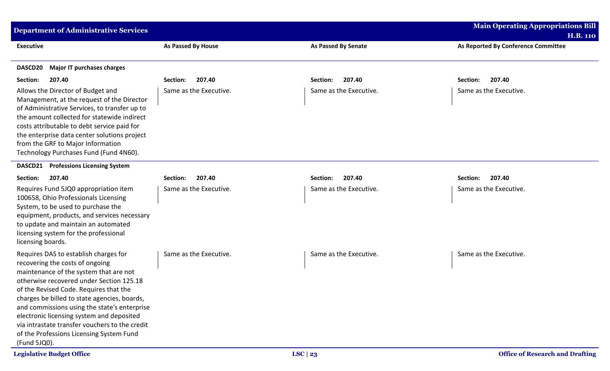| <b>Department of Administrative Services</b>                                                                                                                                                                                                                                                                                                                                                                                                                        |                           |                            | <b>Main Operating Appropriations Bill</b>              |
|---------------------------------------------------------------------------------------------------------------------------------------------------------------------------------------------------------------------------------------------------------------------------------------------------------------------------------------------------------------------------------------------------------------------------------------------------------------------|---------------------------|----------------------------|--------------------------------------------------------|
| <b>Executive</b>                                                                                                                                                                                                                                                                                                                                                                                                                                                    | <b>As Passed By House</b> | <b>As Passed By Senate</b> | <b>H.B. 110</b><br>As Reported By Conference Committee |
| <b>Major IT purchases charges</b><br>DASCD20                                                                                                                                                                                                                                                                                                                                                                                                                        |                           |                            |                                                        |
| Section:<br>207.40                                                                                                                                                                                                                                                                                                                                                                                                                                                  | 207.40<br>Section:        | 207.40<br>Section:         | 207.40<br>Section:                                     |
| Allows the Director of Budget and<br>Management, at the request of the Director<br>of Administrative Services, to transfer up to<br>the amount collected for statewide indirect<br>costs attributable to debt service paid for<br>the enterprise data center solutions project<br>from the GRF to Major Information<br>Technology Purchases Fund (Fund 4N60).                                                                                                       | Same as the Executive.    | Same as the Executive.     | Same as the Executive.                                 |
| <b>Professions Licensing System</b><br><b>DASCD21</b>                                                                                                                                                                                                                                                                                                                                                                                                               |                           |                            |                                                        |
| 207.40<br>Section:                                                                                                                                                                                                                                                                                                                                                                                                                                                  | 207.40<br>Section:        | 207.40<br>Section:         | 207.40<br>Section:                                     |
| Requires Fund 5JQ0 appropriation item<br>100658, Ohio Professionals Licensing<br>System, to be used to purchase the<br>equipment, products, and services necessary<br>to update and maintain an automated<br>licensing system for the professional<br>licensing boards.                                                                                                                                                                                             | Same as the Executive.    | Same as the Executive.     | Same as the Executive.                                 |
| Requires DAS to establish charges for<br>recovering the costs of ongoing<br>maintenance of the system that are not<br>otherwise recovered under Section 125.18<br>of the Revised Code. Requires that the<br>charges be billed to state agencies, boards,<br>and commissions using the state's enterprise<br>electronic licensing system and deposited<br>via intrastate transfer vouchers to the credit<br>of the Professions Licensing System Fund<br>(Fund 5JQ0). | Same as the Executive.    | Same as the Executive.     | Same as the Executive.                                 |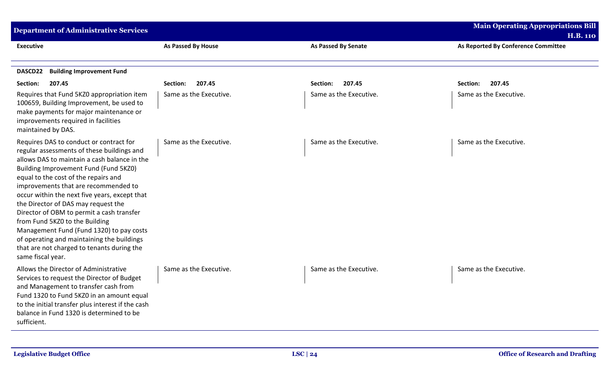| <b>Department of Administrative Services</b>                                                                                                                                                                                                                                                                                                                                                                                                                                                                                                                                                       |                        |                            | <b>Main Operating Appropriations Bill</b><br><b>H.B. 110</b> |
|----------------------------------------------------------------------------------------------------------------------------------------------------------------------------------------------------------------------------------------------------------------------------------------------------------------------------------------------------------------------------------------------------------------------------------------------------------------------------------------------------------------------------------------------------------------------------------------------------|------------------------|----------------------------|--------------------------------------------------------------|
| <b>Executive</b>                                                                                                                                                                                                                                                                                                                                                                                                                                                                                                                                                                                   | As Passed By House     | <b>As Passed By Senate</b> | As Reported By Conference Committee                          |
| <b>Building Improvement Fund</b><br>DASCD22                                                                                                                                                                                                                                                                                                                                                                                                                                                                                                                                                        |                        |                            |                                                              |
| 207.45<br>Section:                                                                                                                                                                                                                                                                                                                                                                                                                                                                                                                                                                                 | Section:<br>207.45     | 207.45<br>Section:         | Section:<br>207.45                                           |
| Requires that Fund 5KZ0 appropriation item<br>100659, Building Improvement, be used to<br>make payments for major maintenance or<br>improvements required in facilities<br>maintained by DAS.                                                                                                                                                                                                                                                                                                                                                                                                      | Same as the Executive. | Same as the Executive.     | Same as the Executive.                                       |
| Requires DAS to conduct or contract for<br>regular assessments of these buildings and<br>allows DAS to maintain a cash balance in the<br>Building Improvement Fund (Fund 5KZ0)<br>equal to the cost of the repairs and<br>improvements that are recommended to<br>occur within the next five years, except that<br>the Director of DAS may request the<br>Director of OBM to permit a cash transfer<br>from Fund 5KZ0 to the Building<br>Management Fund (Fund 1320) to pay costs<br>of operating and maintaining the buildings<br>that are not charged to tenants during the<br>same fiscal year. | Same as the Executive. | Same as the Executive.     | Same as the Executive.                                       |
| Allows the Director of Administrative<br>Services to request the Director of Budget<br>and Management to transfer cash from<br>Fund 1320 to Fund 5KZ0 in an amount equal<br>to the initial transfer plus interest if the cash<br>balance in Fund 1320 is determined to be<br>sufficient.                                                                                                                                                                                                                                                                                                           | Same as the Executive. | Same as the Executive.     | Same as the Executive.                                       |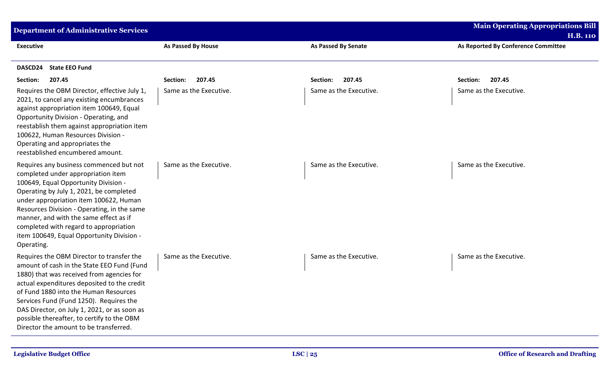| <b>Department of Administrative Services</b>                                                                                                                                                                                                                                                                                                                                                                    |                        |                            | <b>Main Operating Appropriations Bill</b><br><b>H.B. 110</b> |
|-----------------------------------------------------------------------------------------------------------------------------------------------------------------------------------------------------------------------------------------------------------------------------------------------------------------------------------------------------------------------------------------------------------------|------------------------|----------------------------|--------------------------------------------------------------|
| <b>Executive</b>                                                                                                                                                                                                                                                                                                                                                                                                | As Passed By House     | <b>As Passed By Senate</b> | As Reported By Conference Committee                          |
| <b>State EEO Fund</b><br>DASCD24                                                                                                                                                                                                                                                                                                                                                                                |                        |                            |                                                              |
| 207.45<br>Section:                                                                                                                                                                                                                                                                                                                                                                                              | 207.45<br>Section:     | 207.45<br><b>Section:</b>  | Section:<br>207.45                                           |
| Requires the OBM Director, effective July 1,<br>2021, to cancel any existing encumbrances<br>against appropriation item 100649, Equal<br>Opportunity Division - Operating, and<br>reestablish them against appropriation item<br>100622, Human Resources Division -<br>Operating and appropriates the<br>reestablished encumbered amount.                                                                       | Same as the Executive. | Same as the Executive.     | Same as the Executive.                                       |
| Requires any business commenced but not<br>completed under appropriation item<br>100649, Equal Opportunity Division -<br>Operating by July 1, 2021, be completed<br>under appropriation item 100622, Human<br>Resources Division - Operating, in the same<br>manner, and with the same effect as if<br>completed with regard to appropriation<br>item 100649, Equal Opportunity Division -<br>Operating.        | Same as the Executive. | Same as the Executive.     | Same as the Executive.                                       |
| Requires the OBM Director to transfer the<br>amount of cash in the State EEO Fund (Fund<br>1880) that was received from agencies for<br>actual expenditures deposited to the credit<br>of Fund 1880 into the Human Resources<br>Services Fund (Fund 1250). Requires the<br>DAS Director, on July 1, 2021, or as soon as<br>possible thereafter, to certify to the OBM<br>Director the amount to be transferred. | Same as the Executive. | Same as the Executive.     | Same as the Executive.                                       |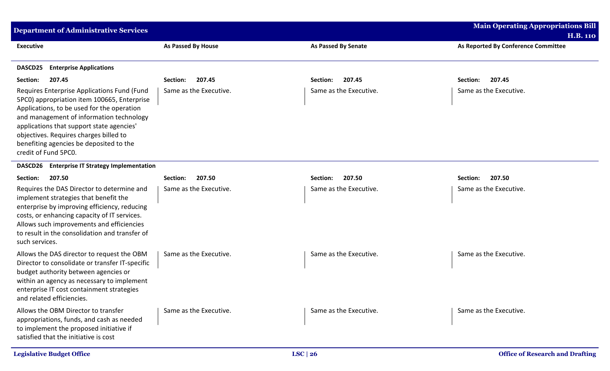| <b>Department of Administrative Services</b>                                                                                                                                                                                                                                                                                                   |                           |                            | <b>Main Operating Appropriations Bill</b>              |
|------------------------------------------------------------------------------------------------------------------------------------------------------------------------------------------------------------------------------------------------------------------------------------------------------------------------------------------------|---------------------------|----------------------------|--------------------------------------------------------|
| <b>Executive</b>                                                                                                                                                                                                                                                                                                                               | <b>As Passed By House</b> | <b>As Passed By Senate</b> | <b>H.B. 110</b><br>As Reported By Conference Committee |
| <b>Enterprise Applications</b><br><b>DASCD25</b>                                                                                                                                                                                                                                                                                               |                           |                            |                                                        |
| 207.45<br>Section:                                                                                                                                                                                                                                                                                                                             | 207.45<br>Section:        | 207.45<br>Section:         | 207.45<br>Section:                                     |
| Requires Enterprise Applications Fund (Fund<br>5PC0) appropriation item 100665, Enterprise<br>Applications, to be used for the operation<br>and management of information technology<br>applications that support state agencies'<br>objectives. Requires charges billed to<br>benefiting agencies be deposited to the<br>credit of Fund 5PC0. | Same as the Executive.    | Same as the Executive.     | Same as the Executive.                                 |
| <b>Enterprise IT Strategy Implementation</b><br><b>DASCD26</b>                                                                                                                                                                                                                                                                                 |                           |                            |                                                        |
| 207.50<br>Section:                                                                                                                                                                                                                                                                                                                             | 207.50<br>Section:        | 207.50<br>Section:         | 207.50<br>Section:                                     |
| Requires the DAS Director to determine and<br>implement strategies that benefit the<br>enterprise by improving efficiency, reducing<br>costs, or enhancing capacity of IT services.<br>Allows such improvements and efficiencies<br>to result in the consolidation and transfer of<br>such services.                                           | Same as the Executive.    | Same as the Executive.     | Same as the Executive.                                 |
| Allows the DAS director to request the OBM<br>Director to consolidate or transfer IT-specific<br>budget authority between agencies or<br>within an agency as necessary to implement<br>enterprise IT cost containment strategies<br>and related efficiencies.                                                                                  | Same as the Executive.    | Same as the Executive.     | Same as the Executive.                                 |
| Allows the OBM Director to transfer<br>appropriations, funds, and cash as needed<br>to implement the proposed initiative if<br>satisfied that the initiative is cost                                                                                                                                                                           | Same as the Executive.    | Same as the Executive.     | Same as the Executive.                                 |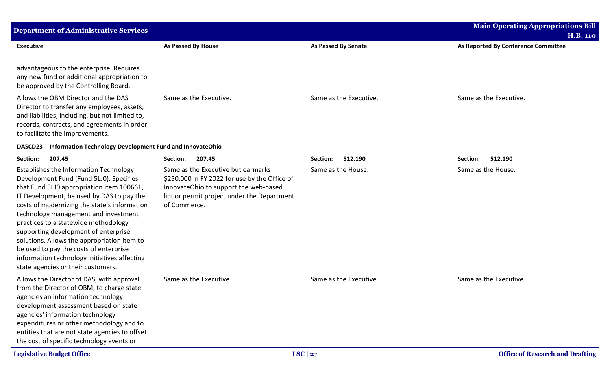| <b>Department of Administrative Services</b>                                                                                                                                                                                                                                                                                                                                                                                                                                                                                       |                                                                                                                                                                                            |                            | <b>Main Operating Appropriations Bill</b>              |
|------------------------------------------------------------------------------------------------------------------------------------------------------------------------------------------------------------------------------------------------------------------------------------------------------------------------------------------------------------------------------------------------------------------------------------------------------------------------------------------------------------------------------------|--------------------------------------------------------------------------------------------------------------------------------------------------------------------------------------------|----------------------------|--------------------------------------------------------|
| <b>Executive</b>                                                                                                                                                                                                                                                                                                                                                                                                                                                                                                                   | As Passed By House                                                                                                                                                                         | <b>As Passed By Senate</b> | <b>H.B. 110</b><br>As Reported By Conference Committee |
| advantageous to the enterprise. Requires<br>any new fund or additional appropriation to<br>be approved by the Controlling Board.                                                                                                                                                                                                                                                                                                                                                                                                   |                                                                                                                                                                                            |                            |                                                        |
| Allows the OBM Director and the DAS<br>Director to transfer any employees, assets,<br>and liabilities, including, but not limited to,<br>records, contracts, and agreements in order<br>to facilitate the improvements.                                                                                                                                                                                                                                                                                                            | Same as the Executive.                                                                                                                                                                     | Same as the Executive.     | Same as the Executive.                                 |
| Information Technology Development Fund and InnovateOhio<br>DASCD23                                                                                                                                                                                                                                                                                                                                                                                                                                                                |                                                                                                                                                                                            |                            |                                                        |
| Section:<br>207.45                                                                                                                                                                                                                                                                                                                                                                                                                                                                                                                 | 207.45<br>Section:                                                                                                                                                                         | 512.190<br>Section:        | 512.190<br>Section:                                    |
| Establishes the Information Technology<br>Development Fund (Fund 5LJ0). Specifies<br>that Fund 5LJ0 appropriation item 100661,<br>IT Development, be used by DAS to pay the<br>costs of modernizing the state's information<br>technology management and investment<br>practices to a statewide methodology<br>supporting development of enterprise<br>solutions. Allows the appropriation item to<br>be used to pay the costs of enterprise<br>information technology initiatives affecting<br>state agencies or their customers. | Same as the Executive but earmarks<br>\$250,000 in FY 2022 for use by the Office of<br>InnovateOhio to support the web-based<br>liquor permit project under the Department<br>of Commerce. | Same as the House.         | Same as the House.                                     |
| Allows the Director of DAS, with approval<br>from the Director of OBM, to charge state<br>agencies an information technology<br>development assessment based on state<br>agencies' information technology<br>expenditures or other methodology and to<br>entities that are not state agencies to offset<br>the cost of specific technology events or                                                                                                                                                                               | Same as the Executive.                                                                                                                                                                     | Same as the Executive.     | Same as the Executive.                                 |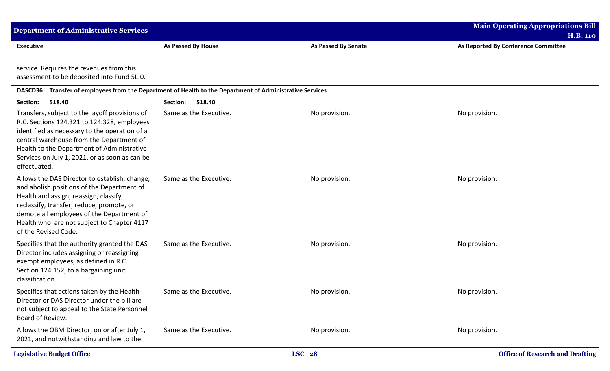| <b>Department of Administrative Services</b>                                                                                                                                                                                                                                                               |                                                                                                  |                            | <b>Main Operating Appropriations Bill</b><br><b>H.B. 110</b> |
|------------------------------------------------------------------------------------------------------------------------------------------------------------------------------------------------------------------------------------------------------------------------------------------------------------|--------------------------------------------------------------------------------------------------|----------------------------|--------------------------------------------------------------|
| <b>Executive</b>                                                                                                                                                                                                                                                                                           | As Passed By House                                                                               | <b>As Passed By Senate</b> | As Reported By Conference Committee                          |
| service. Requires the revenues from this<br>assessment to be deposited into Fund 5LJ0.                                                                                                                                                                                                                     |                                                                                                  |                            |                                                              |
| <b>DASCD36</b>                                                                                                                                                                                                                                                                                             | Transfer of employees from the Department of Health to the Department of Administrative Services |                            |                                                              |
| 518.40<br>Section:                                                                                                                                                                                                                                                                                         | 518.40<br>Section:                                                                               |                            |                                                              |
| Transfers, subject to the layoff provisions of<br>R.C. Sections 124.321 to 124.328, employees<br>identified as necessary to the operation of a<br>central warehouse from the Department of<br>Health to the Department of Administrative<br>Services on July 1, 2021, or as soon as can be<br>effectuated. | Same as the Executive.                                                                           | No provision.              | No provision.                                                |
| Allows the DAS Director to establish, change,<br>and abolish positions of the Department of<br>Health and assign, reassign, classify,<br>reclassify, transfer, reduce, promote, or<br>demote all employees of the Department of<br>Health who are not subject to Chapter 4117<br>of the Revised Code.      | Same as the Executive.                                                                           | No provision.              | No provision.                                                |
| Specifies that the authority granted the DAS<br>Director includes assigning or reassigning<br>exempt employees, as defined in R.C.<br>Section 124.152, to a bargaining unit<br>classification.                                                                                                             | Same as the Executive.                                                                           | No provision.              | No provision.                                                |
| Specifies that actions taken by the Health<br>Director or DAS Director under the bill are<br>not subject to appeal to the State Personnel<br>Board of Review.                                                                                                                                              | Same as the Executive.                                                                           | No provision.              | No provision.                                                |
| Allows the OBM Director, on or after July 1,<br>2021, and notwithstanding and law to the                                                                                                                                                                                                                   | Same as the Executive.                                                                           | No provision.              | No provision.                                                |
| <b>Legislative Budget Office</b>                                                                                                                                                                                                                                                                           |                                                                                                  | LSC   28                   | <b>Office of Research and Drafting</b>                       |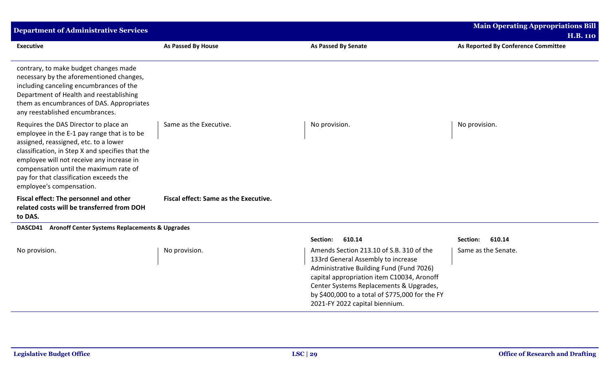| <b>Department of Administrative Services</b>                                                                                                                                                                                                                                                                                                    |                                       |                                                                                                                                                                                                                                                                                                          | <b>Main Operating Appropriations Bill</b><br><b>H.B. 110</b> |
|-------------------------------------------------------------------------------------------------------------------------------------------------------------------------------------------------------------------------------------------------------------------------------------------------------------------------------------------------|---------------------------------------|----------------------------------------------------------------------------------------------------------------------------------------------------------------------------------------------------------------------------------------------------------------------------------------------------------|--------------------------------------------------------------|
| <b>Executive</b>                                                                                                                                                                                                                                                                                                                                | As Passed By House                    | <b>As Passed By Senate</b>                                                                                                                                                                                                                                                                               | As Reported By Conference Committee                          |
| contrary, to make budget changes made<br>necessary by the aforementioned changes,<br>including canceling encumbrances of the<br>Department of Health and reestablishing<br>them as encumbrances of DAS. Appropriates<br>any reestablished encumbrances.                                                                                         |                                       |                                                                                                                                                                                                                                                                                                          |                                                              |
| Requires the DAS Director to place an<br>employee in the E-1 pay range that is to be<br>assigned, reassigned, etc. to a lower<br>classification, in Step X and specifies that the<br>employee will not receive any increase in<br>compensation until the maximum rate of<br>pay for that classification exceeds the<br>employee's compensation. | Same as the Executive.                | No provision.                                                                                                                                                                                                                                                                                            | No provision.                                                |
| Fiscal effect: The personnel and other<br>related costs will be transferred from DOH<br>to DAS.                                                                                                                                                                                                                                                 | Fiscal effect: Same as the Executive. |                                                                                                                                                                                                                                                                                                          |                                                              |
| <b>Aronoff Center Systems Replacements &amp; Upgrades</b><br>DASCD41                                                                                                                                                                                                                                                                            |                                       |                                                                                                                                                                                                                                                                                                          |                                                              |
|                                                                                                                                                                                                                                                                                                                                                 |                                       | Section:<br>610.14                                                                                                                                                                                                                                                                                       | 610.14<br>Section:                                           |
| No provision.                                                                                                                                                                                                                                                                                                                                   | No provision.                         | Amends Section 213.10 of S.B. 310 of the<br>133rd General Assembly to increase<br>Administrative Building Fund (Fund 7026)<br>capital appropriation item C10034, Aronoff<br>Center Systems Replacements & Upgrades,<br>by \$400,000 to a total of \$775,000 for the FY<br>2021-FY 2022 capital biennium. | Same as the Senate.                                          |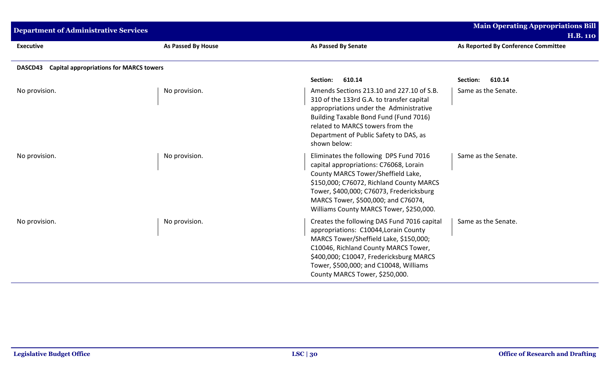| <b>Department of Administrative Services</b>              |                    |                                                                                                                                                                                                                                                                                                  | <b>Main Operating Appropriations Bill</b><br><b>H.B. 110</b> |
|-----------------------------------------------------------|--------------------|--------------------------------------------------------------------------------------------------------------------------------------------------------------------------------------------------------------------------------------------------------------------------------------------------|--------------------------------------------------------------|
| <b>Executive</b>                                          | As Passed By House | <b>As Passed By Senate</b>                                                                                                                                                                                                                                                                       | As Reported By Conference Committee                          |
| <b>Capital appropriations for MARCS towers</b><br>DASCD43 |                    |                                                                                                                                                                                                                                                                                                  |                                                              |
|                                                           |                    | 610.14<br>Section:                                                                                                                                                                                                                                                                               | 610.14<br>Section:                                           |
| No provision.                                             | No provision.      | Amends Sections 213.10 and 227.10 of S.B.<br>310 of the 133rd G.A. to transfer capital<br>appropriations under the Administrative<br>Building Taxable Bond Fund (Fund 7016)<br>related to MARCS towers from the<br>Department of Public Safety to DAS, as<br>shown below:                        | Same as the Senate.                                          |
| No provision.                                             | No provision.      | Eliminates the following DPS Fund 7016<br>capital appropriations: C76068, Lorain<br>County MARCS Tower/Sheffield Lake,<br>\$150,000; C76072, Richland County MARCS<br>Tower, \$400,000; C76073, Fredericksburg<br>MARCS Tower, \$500,000; and C76074,<br>Williams County MARCS Tower, \$250,000. | Same as the Senate.                                          |
| No provision.                                             | No provision.      | Creates the following DAS Fund 7016 capital<br>appropriations: C10044, Lorain County<br>MARCS Tower/Sheffield Lake, \$150,000;<br>C10046, Richland County MARCS Tower,<br>\$400,000; C10047, Fredericksburg MARCS<br>Tower, \$500,000; and C10048, Williams<br>County MARCS Tower, \$250,000.    | Same as the Senate.                                          |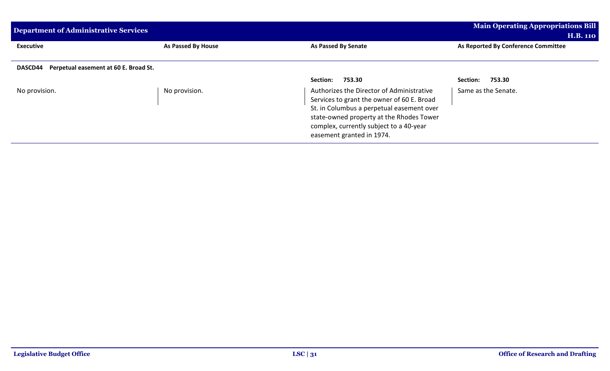| Department of Administrative Services         | <b>Main Operating Appropriations Bill</b> |                                            |                                     |  |  |
|-----------------------------------------------|-------------------------------------------|--------------------------------------------|-------------------------------------|--|--|
|                                               |                                           |                                            | <b>H.B. 110</b>                     |  |  |
| <b>Executive</b>                              | As Passed By House                        | As Passed By Senate                        | As Reported By Conference Committee |  |  |
|                                               |                                           |                                            |                                     |  |  |
| DASCD44 Perpetual easement at 60 E. Broad St. |                                           |                                            |                                     |  |  |
|                                               |                                           | 753.30<br><b>Section:</b>                  | 753.30<br>Section:                  |  |  |
| No provision.                                 | No provision.                             | Authorizes the Director of Administrative  | Same as the Senate.                 |  |  |
|                                               |                                           | Services to grant the owner of 60 E. Broad |                                     |  |  |
|                                               |                                           | St. in Columbus a perpetual easement over  |                                     |  |  |
|                                               |                                           | state-owned property at the Rhodes Tower   |                                     |  |  |
|                                               |                                           | complex, currently subject to a 40-year    |                                     |  |  |
|                                               |                                           | easement granted in 1974.                  |                                     |  |  |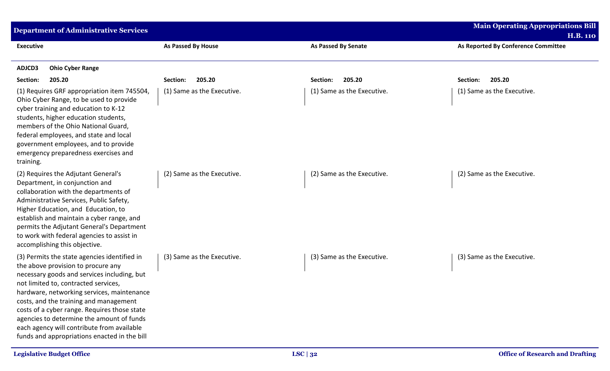| <b>Department of Administrative Services</b>                                                                                                                                                                                                                                                                                                                                                                                                                 |                            |                            | <b>Main Operating Appropriations Bill</b>              |
|--------------------------------------------------------------------------------------------------------------------------------------------------------------------------------------------------------------------------------------------------------------------------------------------------------------------------------------------------------------------------------------------------------------------------------------------------------------|----------------------------|----------------------------|--------------------------------------------------------|
| <b>Executive</b>                                                                                                                                                                                                                                                                                                                                                                                                                                             | As Passed By House         | <b>As Passed By Senate</b> | <b>H.B. 110</b><br>As Reported By Conference Committee |
| ADJCD3<br><b>Ohio Cyber Range</b>                                                                                                                                                                                                                                                                                                                                                                                                                            |                            |                            |                                                        |
| Section:<br>205.20                                                                                                                                                                                                                                                                                                                                                                                                                                           | 205.20<br>Section:         | 205.20<br>Section:         | 205.20<br>Section:                                     |
| (1) Requires GRF appropriation item 745504,<br>Ohio Cyber Range, to be used to provide<br>cyber training and education to K-12<br>students, higher education students,<br>members of the Ohio National Guard,<br>federal employees, and state and local<br>government employees, and to provide<br>emergency preparedness exercises and<br>training.                                                                                                         | (1) Same as the Executive. | (1) Same as the Executive. | (1) Same as the Executive.                             |
| (2) Requires the Adjutant General's<br>Department, in conjunction and<br>collaboration with the departments of<br>Administrative Services, Public Safety,<br>Higher Education, and Education, to<br>establish and maintain a cyber range, and<br>permits the Adjutant General's Department<br>to work with federal agencies to assist in<br>accomplishing this objective.                                                                                    | (2) Same as the Executive. | (2) Same as the Executive. | (2) Same as the Executive.                             |
| (3) Permits the state agencies identified in<br>the above provision to procure any<br>necessary goods and services including, but<br>not limited to, contracted services,<br>hardware, networking services, maintenance<br>costs, and the training and management<br>costs of a cyber range. Requires those state<br>agencies to determine the amount of funds<br>each agency will contribute from available<br>funds and appropriations enacted in the bill | (3) Same as the Executive. | (3) Same as the Executive. | (3) Same as the Executive.                             |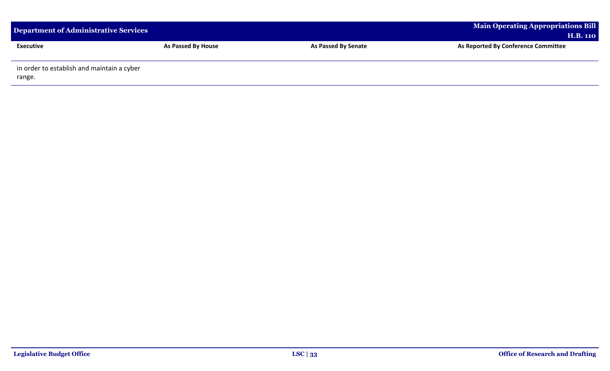| <b>Department of Administrative Services</b>         |                    | <b>Main Operating Appropriations Bill</b><br><b>H.B. 110</b> |                                     |
|------------------------------------------------------|--------------------|--------------------------------------------------------------|-------------------------------------|
| <b>Executive</b>                                     | As Passed By House | <b>As Passed By Senate</b>                                   | As Reported By Conference Committee |
| in order to establish and maintain a cyber<br>range. |                    |                                                              |                                     |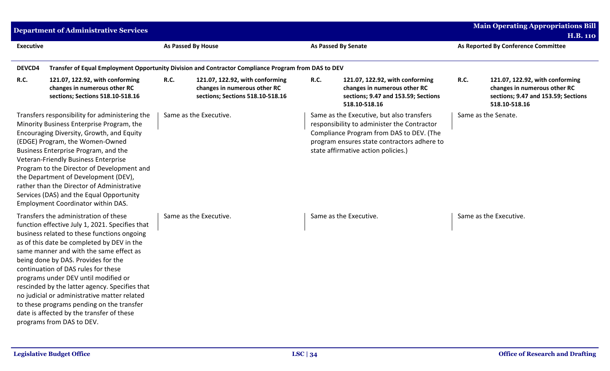|                  | <b>Department of Administrative Services</b>                                                                                                                                                                                                                                                                                                                                                                                                                                                                                                                                    |                    |                                                                                                     |      |                                                                                                                                                                                                                            |                                     | <b>Main Operating Appropriations Bill</b><br><b>H.B. 110</b>                                                            |
|------------------|---------------------------------------------------------------------------------------------------------------------------------------------------------------------------------------------------------------------------------------------------------------------------------------------------------------------------------------------------------------------------------------------------------------------------------------------------------------------------------------------------------------------------------------------------------------------------------|--------------------|-----------------------------------------------------------------------------------------------------|------|----------------------------------------------------------------------------------------------------------------------------------------------------------------------------------------------------------------------------|-------------------------------------|-------------------------------------------------------------------------------------------------------------------------|
| <b>Executive</b> |                                                                                                                                                                                                                                                                                                                                                                                                                                                                                                                                                                                 | As Passed By House |                                                                                                     |      | <b>As Passed By Senate</b>                                                                                                                                                                                                 | As Reported By Conference Committee |                                                                                                                         |
| DEVCD4           |                                                                                                                                                                                                                                                                                                                                                                                                                                                                                                                                                                                 |                    | Transfer of Equal Employment Opportunity Division and Contractor Compliance Program from DAS to DEV |      |                                                                                                                                                                                                                            |                                     |                                                                                                                         |
| <b>R.C.</b>      | 121.07, 122.92, with conforming<br>changes in numerous other RC<br>sections; Sections 518.10-518.16                                                                                                                                                                                                                                                                                                                                                                                                                                                                             | R.C.               | 121.07, 122.92, with conforming<br>changes in numerous other RC<br>sections; Sections 518.10-518.16 | R.C. | 121.07, 122.92, with conforming<br>changes in numerous other RC<br>sections; 9.47 and 153.59; Sections<br>518.10-518.16                                                                                                    | <b>R.C.</b>                         | 121.07, 122.92, with conforming<br>changes in numerous other RC<br>sections; 9.47 and 153.59; Sections<br>518.10-518.16 |
|                  | Transfers responsibility for administering the<br>Minority Business Enterprise Program, the<br>Encouraging Diversity, Growth, and Equity<br>(EDGE) Program, the Women-Owned<br>Business Enterprise Program, and the<br>Veteran-Friendly Business Enterprise<br>Program to the Director of Development and<br>the Department of Development (DEV),<br>rather than the Director of Administrative<br>Services (DAS) and the Equal Opportunity<br>Employment Coordinator within DAS.                                                                                               |                    | Same as the Executive.                                                                              |      | Same as the Executive, but also transfers<br>responsibility to administer the Contractor<br>Compliance Program from DAS to DEV. (The<br>program ensures state contractors adhere to<br>state affirmative action policies.) |                                     | Same as the Senate.                                                                                                     |
|                  | Transfers the administration of these<br>function effective July 1, 2021. Specifies that<br>business related to these functions ongoing<br>as of this date be completed by DEV in the<br>same manner and with the same effect as<br>being done by DAS. Provides for the<br>continuation of DAS rules for these<br>programs under DEV until modified or<br>rescinded by the latter agency. Specifies that<br>no judicial or administrative matter related<br>to these programs pending on the transfer<br>date is affected by the transfer of these<br>programs from DAS to DEV. |                    | Same as the Executive.                                                                              |      | Same as the Executive.                                                                                                                                                                                                     |                                     | Same as the Executive.                                                                                                  |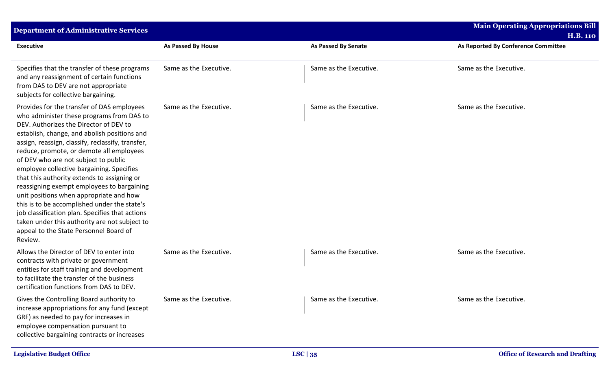| <b>Department of Administrative Services</b>                                                                                                                                                                                                                                                                                                                                                                                                                                                                                                                                                                                                                                                                             |                           |                            | <b>Main Operating Appropriations Bill</b> |
|--------------------------------------------------------------------------------------------------------------------------------------------------------------------------------------------------------------------------------------------------------------------------------------------------------------------------------------------------------------------------------------------------------------------------------------------------------------------------------------------------------------------------------------------------------------------------------------------------------------------------------------------------------------------------------------------------------------------------|---------------------------|----------------------------|-------------------------------------------|
|                                                                                                                                                                                                                                                                                                                                                                                                                                                                                                                                                                                                                                                                                                                          |                           |                            | <b>H.B. 110</b>                           |
| <b>Executive</b>                                                                                                                                                                                                                                                                                                                                                                                                                                                                                                                                                                                                                                                                                                         | <b>As Passed By House</b> | <b>As Passed By Senate</b> | As Reported By Conference Committee       |
| Specifies that the transfer of these programs<br>and any reassignment of certain functions<br>from DAS to DEV are not appropriate<br>subjects for collective bargaining.                                                                                                                                                                                                                                                                                                                                                                                                                                                                                                                                                 | Same as the Executive.    | Same as the Executive.     | Same as the Executive.                    |
| Provides for the transfer of DAS employees<br>who administer these programs from DAS to<br>DEV. Authorizes the Director of DEV to<br>establish, change, and abolish positions and<br>assign, reassign, classify, reclassify, transfer,<br>reduce, promote, or demote all employees<br>of DEV who are not subject to public<br>employee collective bargaining. Specifies<br>that this authority extends to assigning or<br>reassigning exempt employees to bargaining<br>unit positions when appropriate and how<br>this is to be accomplished under the state's<br>job classification plan. Specifies that actions<br>taken under this authority are not subject to<br>appeal to the State Personnel Board of<br>Review. | Same as the Executive.    | Same as the Executive.     | Same as the Executive.                    |
| Allows the Director of DEV to enter into<br>contracts with private or government<br>entities for staff training and development<br>to facilitate the transfer of the business<br>certification functions from DAS to DEV.                                                                                                                                                                                                                                                                                                                                                                                                                                                                                                | Same as the Executive.    | Same as the Executive.     | Same as the Executive.                    |
| Gives the Controlling Board authority to<br>increase appropriations for any fund (except<br>GRF) as needed to pay for increases in<br>employee compensation pursuant to<br>collective bargaining contracts or increases                                                                                                                                                                                                                                                                                                                                                                                                                                                                                                  | Same as the Executive.    | Same as the Executive.     | Same as the Executive.                    |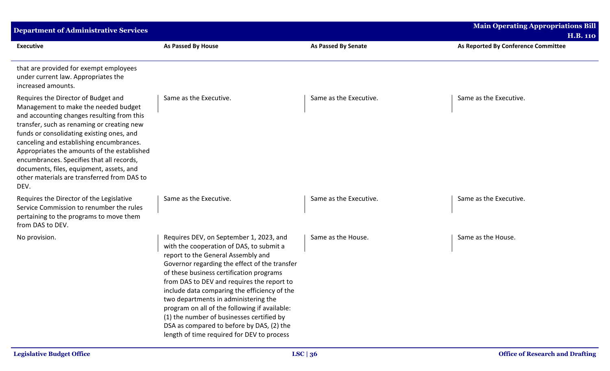| <b>Department of Administrative Services</b>                                                                                                                                                                                                                                                                                                                                                                                                                    |                                                                                                                                                                                                                                                                                                                                                                                                                                                                                                                                                       |                            | <b>Main Operating Appropriations Bill</b> |
|-----------------------------------------------------------------------------------------------------------------------------------------------------------------------------------------------------------------------------------------------------------------------------------------------------------------------------------------------------------------------------------------------------------------------------------------------------------------|-------------------------------------------------------------------------------------------------------------------------------------------------------------------------------------------------------------------------------------------------------------------------------------------------------------------------------------------------------------------------------------------------------------------------------------------------------------------------------------------------------------------------------------------------------|----------------------------|-------------------------------------------|
|                                                                                                                                                                                                                                                                                                                                                                                                                                                                 |                                                                                                                                                                                                                                                                                                                                                                                                                                                                                                                                                       |                            | <b>H.B. 110</b>                           |
| <b>Executive</b>                                                                                                                                                                                                                                                                                                                                                                                                                                                | <b>As Passed By House</b>                                                                                                                                                                                                                                                                                                                                                                                                                                                                                                                             | <b>As Passed By Senate</b> | As Reported By Conference Committee       |
| that are provided for exempt employees<br>under current law. Appropriates the<br>increased amounts.                                                                                                                                                                                                                                                                                                                                                             |                                                                                                                                                                                                                                                                                                                                                                                                                                                                                                                                                       |                            |                                           |
| Requires the Director of Budget and<br>Management to make the needed budget<br>and accounting changes resulting from this<br>transfer, such as renaming or creating new<br>funds or consolidating existing ones, and<br>canceling and establishing encumbrances.<br>Appropriates the amounts of the established<br>encumbrances. Specifies that all records,<br>documents, files, equipment, assets, and<br>other materials are transferred from DAS to<br>DEV. | Same as the Executive.                                                                                                                                                                                                                                                                                                                                                                                                                                                                                                                                | Same as the Executive.     | Same as the Executive.                    |
| Requires the Director of the Legislative<br>Service Commission to renumber the rules<br>pertaining to the programs to move them<br>from DAS to DEV.                                                                                                                                                                                                                                                                                                             | Same as the Executive.                                                                                                                                                                                                                                                                                                                                                                                                                                                                                                                                | Same as the Executive.     | Same as the Executive.                    |
| No provision.                                                                                                                                                                                                                                                                                                                                                                                                                                                   | Requires DEV, on September 1, 2023, and<br>with the cooperation of DAS, to submit a<br>report to the General Assembly and<br>Governor regarding the effect of the transfer<br>of these business certification programs<br>from DAS to DEV and requires the report to<br>include data comparing the efficiency of the<br>two departments in administering the<br>program on all of the following if available:<br>(1) the number of businesses certified by<br>DSA as compared to before by DAS, (2) the<br>length of time required for DEV to process | Same as the House.         | Same as the House.                        |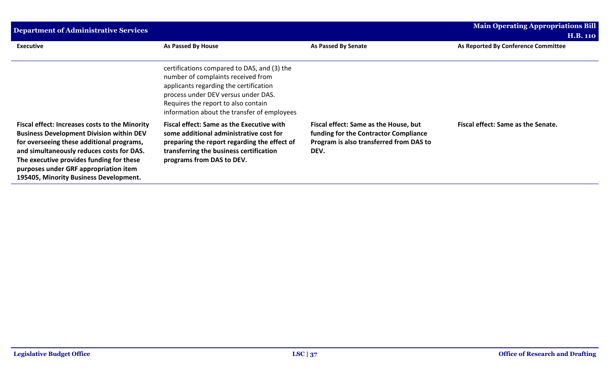| Department of Administrative Services                                                                                                                                                                                                                                                                                             |                                                                                                                                                                                                                                                          |                                                                                                                                   | <b>Main Operating Appropriations Bill</b>              |  |
|-----------------------------------------------------------------------------------------------------------------------------------------------------------------------------------------------------------------------------------------------------------------------------------------------------------------------------------|----------------------------------------------------------------------------------------------------------------------------------------------------------------------------------------------------------------------------------------------------------|-----------------------------------------------------------------------------------------------------------------------------------|--------------------------------------------------------|--|
| <b>Executive</b>                                                                                                                                                                                                                                                                                                                  | As Passed By House                                                                                                                                                                                                                                       | <b>As Passed By Senate</b>                                                                                                        | <b>H.B. 110</b><br>As Reported By Conference Committee |  |
|                                                                                                                                                                                                                                                                                                                                   |                                                                                                                                                                                                                                                          |                                                                                                                                   |                                                        |  |
|                                                                                                                                                                                                                                                                                                                                   | certifications compared to DAS, and (3) the<br>number of complaints received from<br>applicants regarding the certification<br>process under DEV versus under DAS.<br>Requires the report to also contain<br>information about the transfer of employees |                                                                                                                                   |                                                        |  |
| <b>Fiscal effect: Increases costs to the Minority</b><br><b>Business Development Division within DEV</b><br>for overseeing these additional programs,<br>and simultaneously reduces costs for DAS.<br>The executive provides funding for these<br>purposes under GRF appropriation item<br>195405, Minority Business Development. | Fiscal effect: Same as the Executive with<br>some additional administrative cost for<br>preparing the report regarding the effect of<br>transferring the business certification<br>programs from DAS to DEV.                                             | Fiscal effect: Same as the House, but<br>funding for the Contractor Compliance<br>Program is also transferred from DAS to<br>DEV. | Fiscal effect: Same as the Senate.                     |  |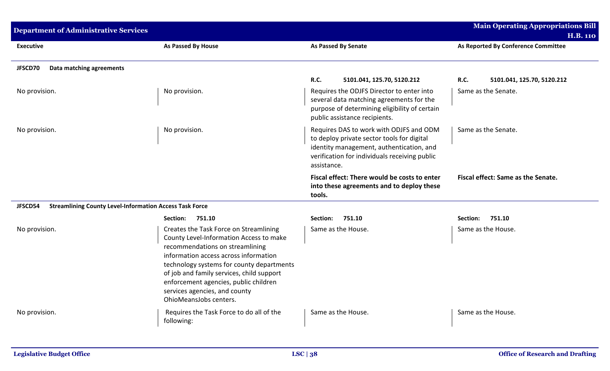| <b>Department of Administrative Services</b>                              |                                                                                                                                                                                                                                                                                                                                                             |                                                                                                                                                                                                   | <b>Main Operating Appropriations Bill</b><br><b>H.B. 110</b> |
|---------------------------------------------------------------------------|-------------------------------------------------------------------------------------------------------------------------------------------------------------------------------------------------------------------------------------------------------------------------------------------------------------------------------------------------------------|---------------------------------------------------------------------------------------------------------------------------------------------------------------------------------------------------|--------------------------------------------------------------|
| <b>Executive</b>                                                          | <b>As Passed By House</b>                                                                                                                                                                                                                                                                                                                                   | <b>As Passed By Senate</b>                                                                                                                                                                        | As Reported By Conference Committee                          |
| JFSCD70<br>Data matching agreements                                       |                                                                                                                                                                                                                                                                                                                                                             |                                                                                                                                                                                                   |                                                              |
|                                                                           |                                                                                                                                                                                                                                                                                                                                                             | <b>R.C.</b><br>5101.041, 125.70, 5120.212                                                                                                                                                         | R.C.<br>5101.041, 125.70, 5120.212                           |
| No provision.                                                             | No provision.                                                                                                                                                                                                                                                                                                                                               | Requires the ODJFS Director to enter into<br>several data matching agreements for the<br>purpose of determining eligibility of certain<br>public assistance recipients.                           | Same as the Senate.                                          |
| No provision.                                                             | No provision.                                                                                                                                                                                                                                                                                                                                               | Requires DAS to work with ODJFS and ODM<br>to deploy private sector tools for digital<br>identity management, authentication, and<br>verification for individuals receiving public<br>assistance. | Same as the Senate.                                          |
|                                                                           |                                                                                                                                                                                                                                                                                                                                                             | Fiscal effect: There would be costs to enter<br>into these agreements and to deploy these<br>tools.                                                                                               | Fiscal effect: Same as the Senate.                           |
| JFSCD54<br><b>Streamlining County Level-Information Access Task Force</b> |                                                                                                                                                                                                                                                                                                                                                             |                                                                                                                                                                                                   |                                                              |
|                                                                           | Section:<br>751.10                                                                                                                                                                                                                                                                                                                                          | Section:<br>751.10                                                                                                                                                                                | 751.10<br>Section:                                           |
| No provision.                                                             | Creates the Task Force on Streamlining<br>County Level-Information Access to make<br>recommendations on streamlining<br>information access across information<br>technology systems for county departments<br>of job and family services, child support<br>enforcement agencies, public children<br>services agencies, and county<br>OhioMeansJobs centers. | Same as the House.                                                                                                                                                                                | Same as the House.                                           |
| No provision.                                                             | Requires the Task Force to do all of the<br>following:                                                                                                                                                                                                                                                                                                      | Same as the House.                                                                                                                                                                                | Same as the House.                                           |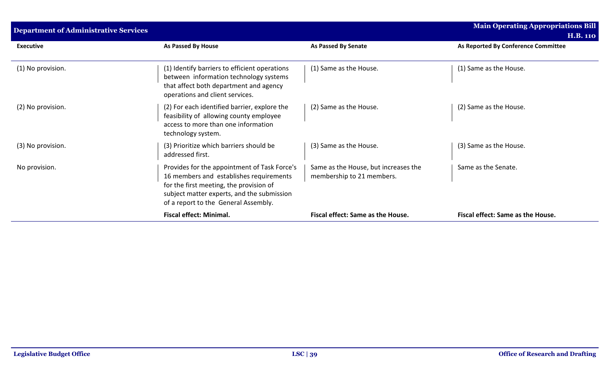| <b>Department of Administrative Services</b> |                                                                                                                                                                                                                          |                                                                   | <b>Main Operating Appropriations Bill</b><br><b>H.B. 110</b> |
|----------------------------------------------|--------------------------------------------------------------------------------------------------------------------------------------------------------------------------------------------------------------------------|-------------------------------------------------------------------|--------------------------------------------------------------|
| <b>Executive</b>                             | As Passed By House                                                                                                                                                                                                       | <b>As Passed By Senate</b>                                        | As Reported By Conference Committee                          |
| (1) No provision.                            | (1) Identify barriers to efficient operations<br>between information technology systems<br>that affect both department and agency<br>operations and client services.                                                     | (1) Same as the House.                                            | (1) Same as the House.                                       |
| (2) No provision.                            | (2) For each identified barrier, explore the<br>feasibility of allowing county employee<br>access to more than one information<br>technology system.                                                                     | (2) Same as the House.                                            | (2) Same as the House.                                       |
| (3) No provision.                            | (3) Prioritize which barriers should be<br>addressed first.                                                                                                                                                              | (3) Same as the House.                                            | (3) Same as the House.                                       |
| No provision.                                | Provides for the appointment of Task Force's<br>16 members and establishes requirements<br>for the first meeting, the provision of<br>subject matter experts, and the submission<br>of a report to the General Assembly. | Same as the House, but increases the<br>membership to 21 members. | Same as the Senate.                                          |
|                                              | <b>Fiscal effect: Minimal.</b>                                                                                                                                                                                           | Fiscal effect: Same as the House.                                 | Fiscal effect: Same as the House.                            |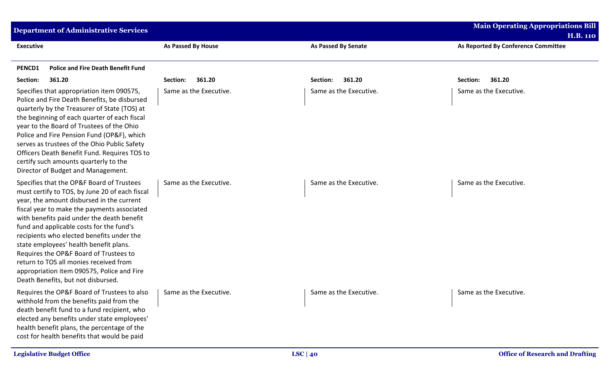| <b>Department of Administrative Services</b>                                                                                                                                                                                                                                                                                                                                                                                                                                                                                                     |                           |                            | <b>Main Operating Appropriations Bill</b> |
|--------------------------------------------------------------------------------------------------------------------------------------------------------------------------------------------------------------------------------------------------------------------------------------------------------------------------------------------------------------------------------------------------------------------------------------------------------------------------------------------------------------------------------------------------|---------------------------|----------------------------|-------------------------------------------|
|                                                                                                                                                                                                                                                                                                                                                                                                                                                                                                                                                  |                           |                            | <b>H.B. 110</b>                           |
| <b>Executive</b>                                                                                                                                                                                                                                                                                                                                                                                                                                                                                                                                 | <b>As Passed By House</b> | <b>As Passed By Senate</b> | As Reported By Conference Committee       |
| <b>Police and Fire Death Benefit Fund</b><br>PENCD1                                                                                                                                                                                                                                                                                                                                                                                                                                                                                              |                           |                            |                                           |
| 361.20<br>Section:                                                                                                                                                                                                                                                                                                                                                                                                                                                                                                                               | 361.20<br>Section:        | 361.20<br>Section:         | 361.20<br>Section:                        |
| Specifies that appropriation item 090575,<br>Police and Fire Death Benefits, be disbursed<br>quarterly by the Treasurer of State (TOS) at<br>the beginning of each quarter of each fiscal<br>year to the Board of Trustees of the Ohio<br>Police and Fire Pension Fund (OP&F), which<br>serves as trustees of the Ohio Public Safety<br>Officers Death Benefit Fund. Requires TOS to<br>certify such amounts quarterly to the<br>Director of Budget and Management.                                                                              | Same as the Executive.    | Same as the Executive.     | Same as the Executive.                    |
| Specifies that the OP&F Board of Trustees<br>must certify to TOS, by June 20 of each fiscal<br>year, the amount disbursed in the current<br>fiscal year to make the payments associated<br>with benefits paid under the death benefit<br>fund and applicable costs for the fund's<br>recipients who elected benefits under the<br>state employees' health benefit plans.<br>Requires the OP&F Board of Trustees to<br>return to TOS all monies received from<br>appropriation item 090575, Police and Fire<br>Death Benefits, but not disbursed. | Same as the Executive.    | Same as the Executive.     | Same as the Executive.                    |
| Requires the OP&F Board of Trustees to also   Same as the Executive.<br>withhold from the benefits paid from the<br>death benefit fund to a fund recipient, who<br>elected any benefits under state employees'<br>health benefit plans, the percentage of the<br>cost for health benefits that would be paid                                                                                                                                                                                                                                     |                           | Same as the Executive.     | Same as the Executive.                    |
| <b>Legislative Budget Office</b>                                                                                                                                                                                                                                                                                                                                                                                                                                                                                                                 |                           | LSC   $40$                 | <b>Office of Research and Drafting</b>    |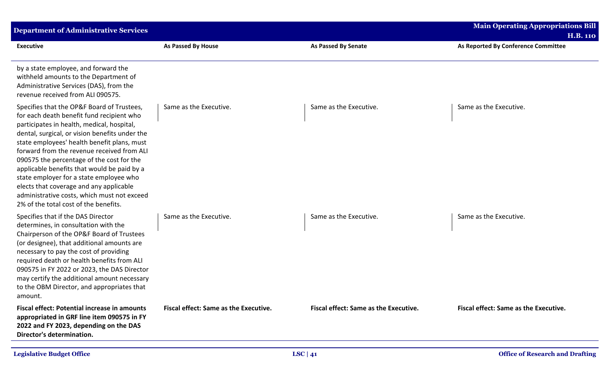| <b>Department of Administrative Services</b>                                                                                                                                                                                                                                                                                                                                                                                                                                                                                                                   |                                       |                                              | <b>Main Operating Appropriations Bill</b>              |
|----------------------------------------------------------------------------------------------------------------------------------------------------------------------------------------------------------------------------------------------------------------------------------------------------------------------------------------------------------------------------------------------------------------------------------------------------------------------------------------------------------------------------------------------------------------|---------------------------------------|----------------------------------------------|--------------------------------------------------------|
| <b>Executive</b>                                                                                                                                                                                                                                                                                                                                                                                                                                                                                                                                               | <b>As Passed By House</b>             | <b>As Passed By Senate</b>                   | <b>H.B. 110</b><br>As Reported By Conference Committee |
| by a state employee, and forward the<br>withheld amounts to the Department of<br>Administrative Services (DAS), from the<br>revenue received from ALI 090575.                                                                                                                                                                                                                                                                                                                                                                                                  |                                       |                                              |                                                        |
| Specifies that the OP&F Board of Trustees,<br>for each death benefit fund recipient who<br>participates in health, medical, hospital,<br>dental, surgical, or vision benefits under the<br>state employees' health benefit plans, must<br>forward from the revenue received from ALI<br>090575 the percentage of the cost for the<br>applicable benefits that would be paid by a<br>state employer for a state employee who<br>elects that coverage and any applicable<br>administrative costs, which must not exceed<br>2% of the total cost of the benefits. | Same as the Executive.                | Same as the Executive.                       | Same as the Executive.                                 |
| Specifies that if the DAS Director<br>determines, in consultation with the<br>Chairperson of the OP&F Board of Trustees<br>(or designee), that additional amounts are<br>necessary to pay the cost of providing<br>required death or health benefits from ALI<br>090575 in FY 2022 or 2023, the DAS Director<br>may certify the additional amount necessary<br>to the OBM Director, and appropriates that<br>amount.                                                                                                                                           | Same as the Executive.                | Same as the Executive.                       | Same as the Executive.                                 |
| <b>Fiscal effect: Potential increase in amounts</b><br>appropriated in GRF line item 090575 in FY<br>2022 and FY 2023, depending on the DAS<br>Director's determination.                                                                                                                                                                                                                                                                                                                                                                                       | Fiscal effect: Same as the Executive. | <b>Fiscal effect: Same as the Executive.</b> | <b>Fiscal effect: Same as the Executive.</b>           |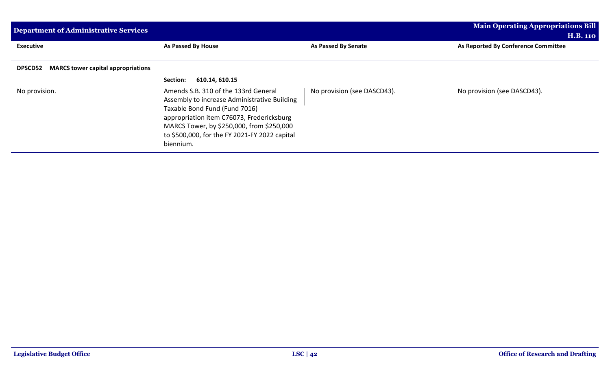| <b>Department of Administrative Services</b>                |                                                                                                                                                                                                                                                                               |                             | <b>Main Operating Appropriations Bill</b><br><b>H.B. 110</b> |
|-------------------------------------------------------------|-------------------------------------------------------------------------------------------------------------------------------------------------------------------------------------------------------------------------------------------------------------------------------|-----------------------------|--------------------------------------------------------------|
| <b>Executive</b>                                            | As Passed By House                                                                                                                                                                                                                                                            | <b>As Passed By Senate</b>  | As Reported By Conference Committee                          |
| <b>MARCS tower capital appropriations</b><br><b>DPSCD52</b> |                                                                                                                                                                                                                                                                               |                             |                                                              |
|                                                             | 610.14, 610.15<br>Section:                                                                                                                                                                                                                                                    |                             |                                                              |
| No provision.                                               | Amends S.B. 310 of the 133rd General<br>Assembly to increase Administrative Building<br>Taxable Bond Fund (Fund 7016)<br>appropriation item C76073, Fredericksburg<br>MARCS Tower, by \$250,000, from \$250,000<br>to \$500,000, for the FY 2021-FY 2022 capital<br>biennium. | No provision (see DASCD43). | No provision (see DASCD43).                                  |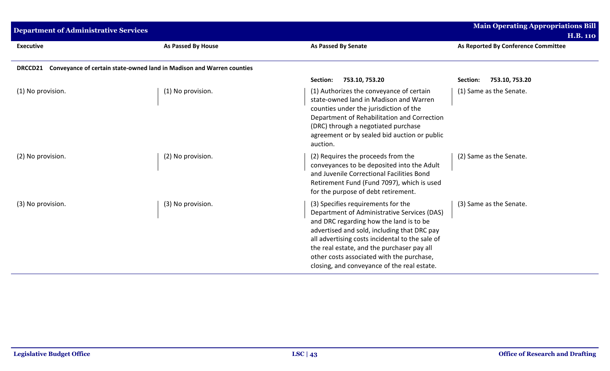| <b>Department of Administrative Services</b> |                                                                       |                                                                                                                                                                                                                                                                                                                                                                          | <b>Main Operating Appropriations Bill</b><br><b>H.B. 110</b> |
|----------------------------------------------|-----------------------------------------------------------------------|--------------------------------------------------------------------------------------------------------------------------------------------------------------------------------------------------------------------------------------------------------------------------------------------------------------------------------------------------------------------------|--------------------------------------------------------------|
| <b>Executive</b>                             | <b>As Passed By House</b>                                             | <b>As Passed By Senate</b>                                                                                                                                                                                                                                                                                                                                               | As Reported By Conference Committee                          |
| <b>DRCCD21</b>                               | Conveyance of certain state-owned land in Madison and Warren counties |                                                                                                                                                                                                                                                                                                                                                                          |                                                              |
|                                              |                                                                       | 753.10, 753.20<br>Section:                                                                                                                                                                                                                                                                                                                                               | Section:<br>753.10, 753.20                                   |
| (1) No provision.                            | (1) No provision.                                                     | (1) Authorizes the conveyance of certain<br>state-owned land in Madison and Warren<br>counties under the jurisdiction of the<br>Department of Rehabilitation and Correction<br>(DRC) through a negotiated purchase<br>agreement or by sealed bid auction or public<br>auction.                                                                                           | (1) Same as the Senate.                                      |
| (2) No provision.                            | (2) No provision.                                                     | (2) Requires the proceeds from the<br>conveyances to be deposited into the Adult<br>and Juvenile Correctional Facilities Bond<br>Retirement Fund (Fund 7097), which is used<br>for the purpose of debt retirement.                                                                                                                                                       | (2) Same as the Senate.                                      |
| (3) No provision.                            | (3) No provision.                                                     | (3) Specifies requirements for the<br>Department of Administrative Services (DAS)<br>and DRC regarding how the land is to be<br>advertised and sold, including that DRC pay<br>all advertising costs incidental to the sale of<br>the real estate, and the purchaser pay all<br>other costs associated with the purchase,<br>closing, and conveyance of the real estate. | (3) Same as the Senate.                                      |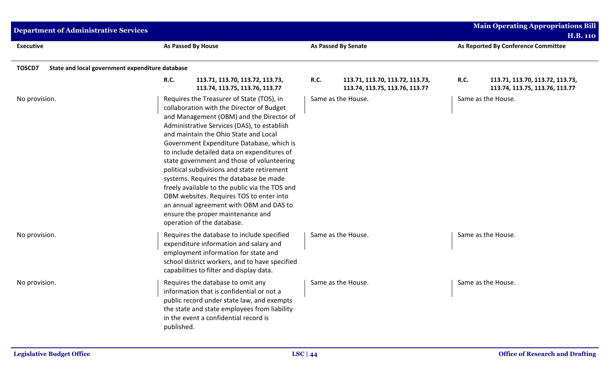| <b>Department of Administrative Services</b>              |                                                                                                                                                                                                                                                                                                                                                                                                                                                                                                                                                                                                                                                                           |                            |                                                                   |             | <b>Main Operating Appropriations Bill</b><br><b>H.B. 110</b>      |
|-----------------------------------------------------------|---------------------------------------------------------------------------------------------------------------------------------------------------------------------------------------------------------------------------------------------------------------------------------------------------------------------------------------------------------------------------------------------------------------------------------------------------------------------------------------------------------------------------------------------------------------------------------------------------------------------------------------------------------------------------|----------------------------|-------------------------------------------------------------------|-------------|-------------------------------------------------------------------|
| <b>Executive</b>                                          | <b>As Passed By House</b>                                                                                                                                                                                                                                                                                                                                                                                                                                                                                                                                                                                                                                                 | <b>As Passed By Senate</b> |                                                                   |             | As Reported By Conference Committee                               |
| TOSCD7<br>State and local government expenditure database |                                                                                                                                                                                                                                                                                                                                                                                                                                                                                                                                                                                                                                                                           |                            |                                                                   |             |                                                                   |
|                                                           | <b>R.C.</b><br>113.71, 113.70, 113.72, 113.73,<br>113.74, 113.75, 113.76, 113.77                                                                                                                                                                                                                                                                                                                                                                                                                                                                                                                                                                                          | R.C.                       | 113.71, 113.70, 113.72, 113.73,<br>113.74, 113.75, 113.76, 113.77 | <b>R.C.</b> | 113.71, 113.70, 113.72, 113.73,<br>113.74, 113.75, 113.76, 113.77 |
| No provision.                                             | Requires the Treasurer of State (TOS), in<br>collaboration with the Director of Budget<br>and Management (OBM) and the Director of<br>Administrative Services (DAS), to establish<br>and maintain the Ohio State and Local<br>Government Expenditure Database, which is<br>to include detailed data on expenditures of<br>state government and those of volunteering<br>political subdivisions and state retirement<br>systems. Requires the database be made<br>freely available to the public via the TOS and<br>OBM websites. Requires TOS to enter into<br>an annual agreement with OBM and DAS to<br>ensure the proper maintenance and<br>operation of the database. | Same as the House.         |                                                                   |             | Same as the House.                                                |
| No provision.                                             | Requires the database to include specified<br>expenditure information and salary and<br>employment information for state and<br>school district workers, and to have specified<br>capabilities to filter and display data.                                                                                                                                                                                                                                                                                                                                                                                                                                                | Same as the House.         |                                                                   |             | Same as the House.                                                |
| No provision.                                             | Requires the database to omit any<br>information that is confidential or not a<br>public record under state law, and exempts<br>the state and state employees from liability<br>in the event a confidential record is<br>published.                                                                                                                                                                                                                                                                                                                                                                                                                                       | Same as the House.         |                                                                   |             | Same as the House.                                                |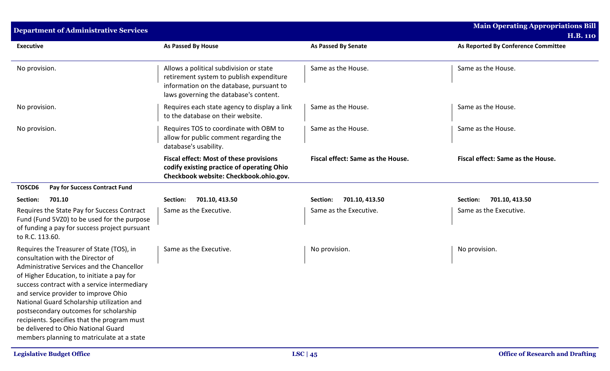| <b>Department of Administrative Services</b>                                                                                                                                                                                                                                                                                                                                                                                                                                                   |                                                                                                                                                                           |                                   | <b>Main Operating Appropriations Bill</b><br><b>H.B. 110</b> |
|------------------------------------------------------------------------------------------------------------------------------------------------------------------------------------------------------------------------------------------------------------------------------------------------------------------------------------------------------------------------------------------------------------------------------------------------------------------------------------------------|---------------------------------------------------------------------------------------------------------------------------------------------------------------------------|-----------------------------------|--------------------------------------------------------------|
| <b>Executive</b>                                                                                                                                                                                                                                                                                                                                                                                                                                                                               | <b>As Passed By House</b>                                                                                                                                                 | <b>As Passed By Senate</b>        | As Reported By Conference Committee                          |
| No provision.                                                                                                                                                                                                                                                                                                                                                                                                                                                                                  | Allows a political subdivision or state<br>retirement system to publish expenditure<br>information on the database, pursuant to<br>laws governing the database's content. | Same as the House.                | Same as the House.                                           |
| No provision.                                                                                                                                                                                                                                                                                                                                                                                                                                                                                  | Requires each state agency to display a link<br>to the database on their website.                                                                                         | Same as the House.                | Same as the House.                                           |
| No provision.                                                                                                                                                                                                                                                                                                                                                                                                                                                                                  | Requires TOS to coordinate with OBM to<br>allow for public comment regarding the<br>database's usability.                                                                 | Same as the House.                | Same as the House.                                           |
|                                                                                                                                                                                                                                                                                                                                                                                                                                                                                                | <b>Fiscal effect: Most of these provisions</b><br>codify existing practice of operating Ohio<br>Checkbook website: Checkbook.ohio.gov.                                    | Fiscal effect: Same as the House. | Fiscal effect: Same as the House.                            |
| TOSCD6<br>Pay for Success Contract Fund                                                                                                                                                                                                                                                                                                                                                                                                                                                        |                                                                                                                                                                           |                                   |                                                              |
| 701.10<br>Section:                                                                                                                                                                                                                                                                                                                                                                                                                                                                             | 701.10, 413.50<br>Section:                                                                                                                                                | 701.10, 413.50<br>Section:        | 701.10, 413.50<br>Section:                                   |
| Requires the State Pay for Success Contract<br>Fund (Fund 5VZ0) to be used for the purpose<br>of funding a pay for success project pursuant<br>to R.C. 113.60.                                                                                                                                                                                                                                                                                                                                 | Same as the Executive.                                                                                                                                                    | Same as the Executive.            | Same as the Executive.                                       |
| Requires the Treasurer of State (TOS), in<br>consultation with the Director of<br>Administrative Services and the Chancellor<br>of Higher Education, to initiate a pay for<br>success contract with a service intermediary<br>and service provider to improve Ohio<br>National Guard Scholarship utilization and<br>postsecondary outcomes for scholarship<br>recipients. Specifies that the program must<br>be delivered to Ohio National Guard<br>members planning to matriculate at a state | Same as the Executive.                                                                                                                                                    | No provision.                     | No provision.                                                |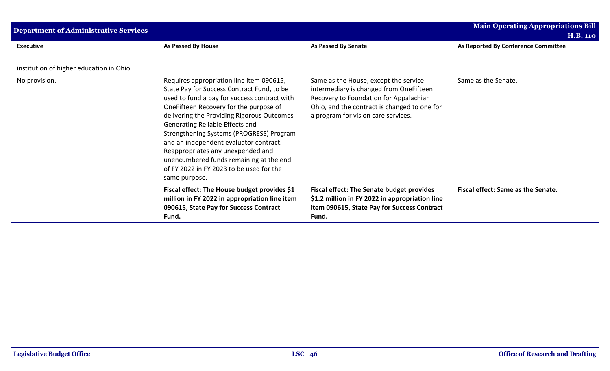| <b>Department of Administrative Services</b> |                                                                                                                                                                                                                                                                                                                                                                                                                                                                                                      |                                                                                                                                                                                                                   | <b>Main Operating Appropriations Bill</b><br><b>H.B. 110</b> |
|----------------------------------------------|------------------------------------------------------------------------------------------------------------------------------------------------------------------------------------------------------------------------------------------------------------------------------------------------------------------------------------------------------------------------------------------------------------------------------------------------------------------------------------------------------|-------------------------------------------------------------------------------------------------------------------------------------------------------------------------------------------------------------------|--------------------------------------------------------------|
| <b>Executive</b>                             | As Passed By House                                                                                                                                                                                                                                                                                                                                                                                                                                                                                   | As Passed By Senate                                                                                                                                                                                               | As Reported By Conference Committee                          |
| institution of higher education in Ohio.     |                                                                                                                                                                                                                                                                                                                                                                                                                                                                                                      |                                                                                                                                                                                                                   |                                                              |
| No provision.                                | Requires appropriation line item 090615,<br>State Pay for Success Contract Fund, to be<br>used to fund a pay for success contract with<br>OneFifteen Recovery for the purpose of<br>delivering the Providing Rigorous Outcomes<br>Generating Reliable Effects and<br>Strengthening Systems (PROGRESS) Program<br>and an independent evaluator contract.<br>Reappropriates any unexpended and<br>unencumbered funds remaining at the end<br>of FY 2022 in FY 2023 to be used for the<br>same purpose. | Same as the House, except the service<br>intermediary is changed from OneFifteen<br>Recovery to Foundation for Appalachian<br>Ohio, and the contract is changed to one for<br>a program for vision care services. | Same as the Senate.                                          |
|                                              | Fiscal effect: The House budget provides \$1<br>million in FY 2022 in appropriation line item<br>090615, State Pay for Success Contract<br>Fund.                                                                                                                                                                                                                                                                                                                                                     | <b>Fiscal effect: The Senate budget provides</b><br>\$1.2 million in FY 2022 in appropriation line<br>item 090615, State Pay for Success Contract<br>Fund.                                                        | Fiscal effect: Same as the Senate.                           |